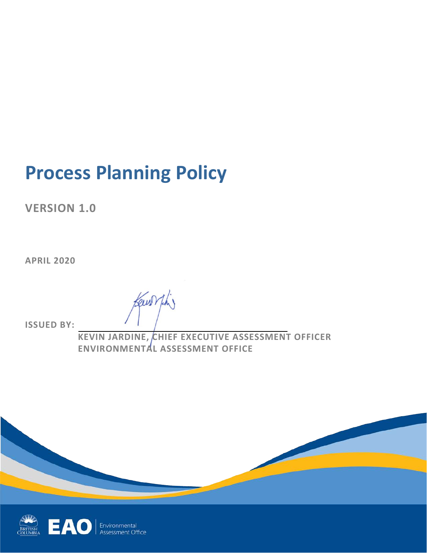# **Process Planning Policy**

**VERSION 1.0**

**APRIL 2020**

**ISSUED BY:** 

**KEVIN JARDINE, CHIEF EXECUTIVE ASSESSMENT OFFICER ENVIRONMENTAL ASSESSMENT OFFICE**

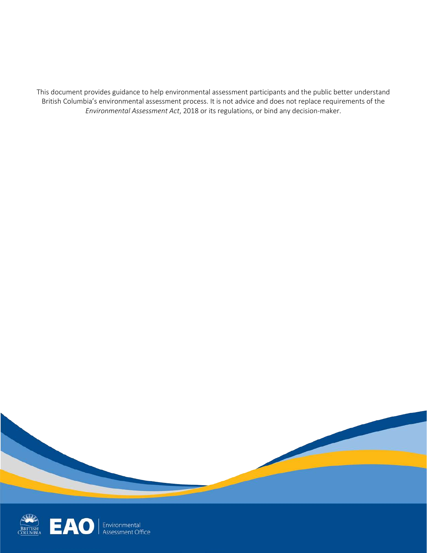This document provides guidance to help environmental assessment participants and the public better understand British Columbia's environmental assessment process. It is not advice and does not replace requirements of the *Environmental Assessment Act*, 2018 or its regulations, or bind any decision-maker.



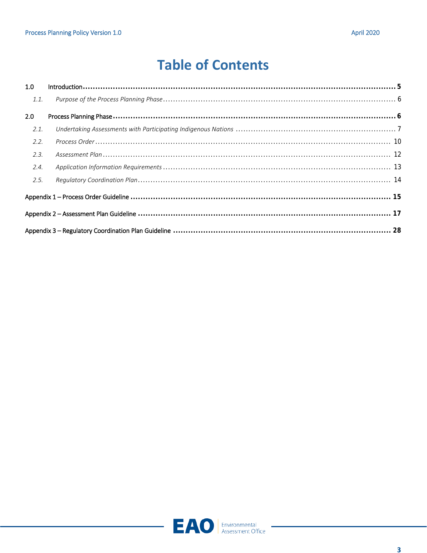# **Table of Contents**

| 1.0  |  |  |
|------|--|--|
| 1.1. |  |  |
| 2.0  |  |  |
| 2.1. |  |  |
| 2.2. |  |  |
| 2.3. |  |  |
| 2.4. |  |  |
| 2.5. |  |  |
|      |  |  |
|      |  |  |
|      |  |  |

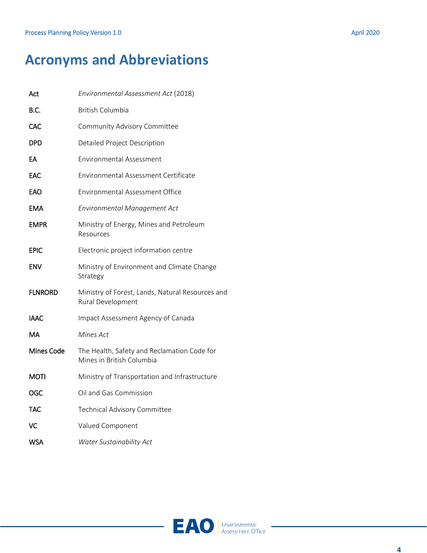# **Acronyms and Abbreviations**

| Act            | Environmental Assessment Act (2018)                                      |
|----------------|--------------------------------------------------------------------------|
| B.C.           | <b>British Columbia</b>                                                  |
| CAC            | Community Advisory Committee                                             |
| <b>DPD</b>     | <b>Detailed Project Description</b>                                      |
| EA             | <b>Environmental Assessment</b>                                          |
| EAC            | Environmental Assessment Certificate                                     |
| EAO            | Environmental Assessment Office                                          |
| EMA            | Environmental Management Act                                             |
| <b>EMPR</b>    | Ministry of Energy, Mines and Petroleum<br>Resources                     |
| <b>EPIC</b>    | Electronic project information centre                                    |
| <b>ENV</b>     | Ministry of Environment and Climate Change<br>Strategy                   |
| <b>FLNRORD</b> | Ministry of Forest, Lands, Natural Resources and<br>Rural Development    |
| IAAC           | Impact Assessment Agency of Canada                                       |
| MA             | Mines Act                                                                |
| Mines Code     | The Health, Safety and Reclamation Code for<br>Mines in British Columbia |
| <b>MOTI</b>    | Ministry of Transportation and Infrastructure                            |
| OGC            | Oil and Gas Commission                                                   |
| <b>TAC</b>     | Technical Advisory Committee                                             |
| VC             | Valued Component                                                         |
| <b>WSA</b>     | Water Sustainability Act                                                 |

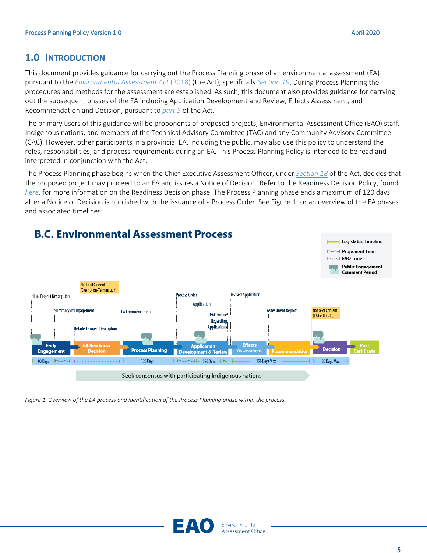# <span id="page-4-0"></span>**1.0 INTRODUCTION**

This document provides guidance for carrying out the Process Planning phase of an environmental assessment (EA) pursuant to the *[Environmental Assessment Act](http://www.bclaws.ca/civix/document/id/complete/statreg/18051)* (2018) (the Act), specifically *[Section 19](http://www.bclaws.ca/civix/document/id/complete/statreg/18051#section19)*. During Process Planning the procedures and methods for the assessment are established. As such, this document also provides guidance for carrying out the subsequent phases of the EA including Application Development and Review, Effects Assessment, and Recommendation and Decision, pursuant to *[part 5](http://www.bclaws.ca/civix/document/id/complete/statreg/18051#part5)* of the Act.

The primary users of this guidance will be proponents of proposed projects, Environmental Assessment Office (EAO) staff, Indigenous nations, and members of the Technical Advisory Committee (TAC) and any Community Advisory Committee (CAC). However, other participants in a provincial EA, including the public, may also use this policy to understand the roles, responsibilities, and process requirements during an EA. This Process Planning Policy is intended to be read and interpreted in conjunction with the Act.

The Process Planning phase begins when the Chief Executive Assessment Officer, under *[Section 18](http://www.bclaws.ca/civix/document/id/complete/statreg/18051#section18)* of the Act, decides that the proposed project may proceed to an EA and issues a Notice of Decision. Refer to the Readiness Decision Policy, found *[here](https://www2.gov.bc.ca/gov/content/environment/natural-resource-stewardship/environmental-assessments/guidance-documents/)*, for more information on the Readiness Decision phase. The Process Planning phase ends a maximum of 120 days after a Notice of Decision is published with the issuance of a Process Order. See Figure 1 for an overview of the EA phases and associated timelines.



*Figure 1. Overview of the EA process and identification of the Process Planning phase within the process*

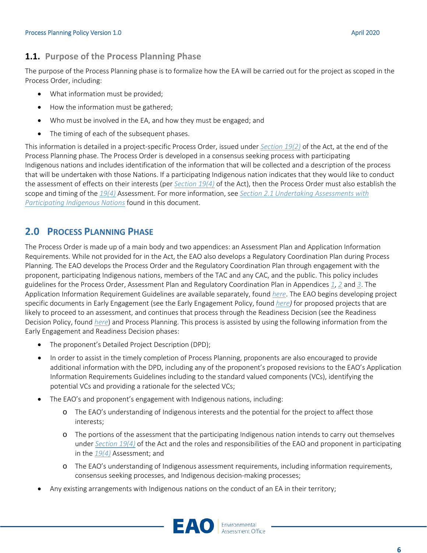# <span id="page-5-0"></span>**1.1. Purpose of the Process Planning Phase**

The purpose of the Process Planning phase is to formalize how the EA will be carried out for the project as scoped in the Process Order, including:

- What information must be provided;
- How the information must be gathered;
- Who must be involved in the EA, and how they must be engaged; and
- The timing of each of the subsequent phases.

This information is detailed in a project-specific Process Order, issued under *[Section 19\(2\)](http://www.bclaws.ca/civix/document/id/complete/statreg/18051#section19)* of the Act, at the end of the Process Planning phase. The Process Order is developed in a consensus seeking process with participating Indigenous nations and includes identification of the information that will be collected and a description of the process that will be undertaken with those Nations. If a participating Indigenous nation indicates that they would like to conduct the assessment of effects on their interests (per *[Section 19\(4\)](http://www.bclaws.ca/civix/document/id/complete/statreg/18051#section19)* of the Act), then the Process Order must also establish the scope and timing of the *[19\(4\)](http://www.bclaws.ca/civix/document/id/complete/statreg/18051#section19)* Assessment. For more information, see *Section 2.1 [Undertaking Assessments with](#page-6-0)  [Participating Indigenous Nations](#page-6-0)* found in this document.

# <span id="page-5-1"></span>**2.0 PROCESS PLANNING PHASE**

The Process Order is made up of a main body and two appendices: an Assessment Plan and Application Information Requirements. While not provided for in the Act, the EAO also develops a Regulatory Coordination Plan during Process Planning. The EAO develops the Process Order and the Regulatory Coordination Plan through engagement with the proponent, participating Indigenous nations, members of the TAC and any CAC, and the public. This policy includes guidelines for the Process Order, Assessment Plan and Regulatory Coordination Plan in Appendices *[1](#page-14-0)*, *[2](#page-16-0)* and *[3](#page-27-0)*. The Application Information Requirement Guidelines are available separately, found *[here](https://www2.gov.bc.ca/gov/content/environment/natural-resource-stewardship/environmental-assessments/guidance-documents/)*. The EAO begins developing project specific documents in Early Engagement (see the Early Engagement Policy, found *[here\)](https://www2.gov.bc.ca/gov/content/environment/natural-resource-stewardship/environmental-assessments/guidance-documents/)* for proposed projects that are likely to proceed to an assessment, and continues that process through the Readiness Decision (see the Readiness Decision Policy, found *[here](https://www2.gov.bc.ca/gov/content/environment/natural-resource-stewardship/environmental-assessments/guidance-documents/)*) and Process Planning. This process is assisted by using the following information from the Early Engagement and Readiness Decision phases:

- The proponent's Detailed Project Description (DPD);
- In order to assist in the timely completion of Process Planning, proponents are also encouraged to provide additional information with the DPD, including any of the proponent's proposed revisions to the EAO's Application Information Requirements Guidelines including to the standard valued components (VCs), identifying the potential VCs and providing a rationale for the selected VCs;
- The EAO's and proponent's engagement with Indigenous nations, including:
	- o The EAO's understanding of Indigenous interests and the potential for the project to affect those interests;
	- o The portions of the assessment that the participating Indigenous nation intends to carry out themselves under *[Section 19\(4\)](http://www.bclaws.ca/civix/document/id/complete/statreg/18051#section19)* of the Act and the roles and responsibilities of the EAO and proponent in participating in the *[19\(4\)](http://www.bclaws.ca/civix/document/id/complete/statreg/18051#section19)* Assessment; and
	- o The EAO's understanding of Indigenous assessment requirements, including information requirements, consensus seeking processes, and Indigenous decision-making processes;
- Any existing arrangements with Indigenous nations on the conduct of an EA in their territory;

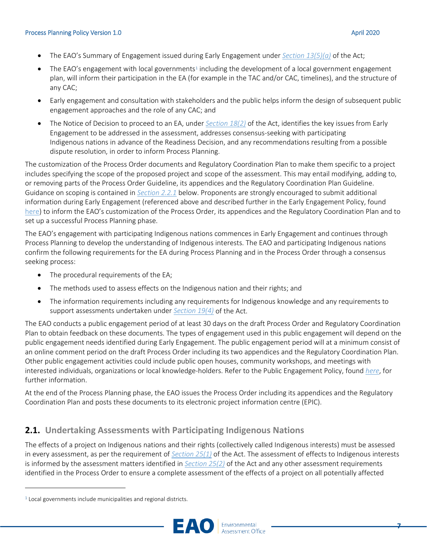**7**

- The EAO's Summary of Engagement issued during Early Engagement under *[Section 13\(5\)\(a\)](http://www.bclaws.ca/civix/document/id/complete/statreg/18051#section13)* of the Act;
- The EAO's engagement with local governments<sup>[1](#page-6-1)</sup> including the development of a local government engagement plan, will inform their participation in the EA (for example in the TAC and/or CAC, timelines), and the structure of any CAC;
- Early engagement and consultation with stakeholders and the public helps inform the design of subsequent public engagement approaches and the role of any CAC; and
- The Notice of Decision to proceed to an EA, under *[Section 18\(2\)](http://www.bclaws.ca/civix/document/id/complete/statreg/18051#section18)* of the Act, identifies the key issues from Early Engagement to be addressed in the assessment, addresses consensus-seeking with participating Indigenous nations in advance of the Readiness Decision, and any recommendations resulting from a possible dispute resolution, in order to inform Process Planning.

The customization of the Process Order documents and Regulatory Coordination Plan to make them specific to a project includes specifying the scope of the proposed project and scope of the assessment. This may entail modifying, adding to, or removing parts of the Process Order Guideline, its appendices and the Regulatory Coordination Plan Guideline. Guidance on scoping is contained in *[Section](#page-6-0) 2.2.1* below. Proponents are strongly encouraged to submit additional information during Early Engagement (referenced above and described further in the Early Engagement Policy, found [here\)](https://www2.gov.bc.ca/gov/content/environment/natural-resource-stewardship/environmental-assessments/guidance-documents/) to inform the EAO's customization of the Process Order, its appendices and the Regulatory Coordination Plan and to set up a successful Process Planning phase.

The EAO's engagement with participating Indigenous nations commences in Early Engagement and continues through Process Planning to develop the understanding of Indigenous interests. The EAO and participating Indigenous nations confirm the following requirements for the EA during Process Planning and in the Process Order through a consensus seeking process:

- The procedural requirements of the EA;
- The methods used to assess effects on the Indigenous nation and their rights; and
- The information requirements including any requirements for Indigenous knowledge and any requirements to support assessments undertaken under *[Section 19\(4\)](http://www.bclaws.ca/civix/document/id/complete/statreg/18051#section19)* of the Act.

The EAO conducts a public engagement period of at least 30 days on the draft Process Order and Regulatory Coordination Plan to obtain feedback on these documents. The types of engagement used in this public engagement will depend on the public engagement needs identified during Early Engagement. The public engagement period will at a minimum consist of an online comment period on the draft Process Order including its two appendices and the Regulatory Coordination Plan. Other public engagement activities could include public open houses, community workshops, and meetings with interested individuals, organizations or local knowledge-holders. Refer to the Public Engagement Policy, found *[here](https://www2.gov.bc.ca/gov/content/environment/natural-resource-stewardship/environmental-assessments/guidance-documents/)*, for further information.

At the end of the Process Planning phase, the EAO issues the Process Order including its appendices and the Regulatory Coordination Plan and posts these documents to its electronic project information centre (EPIC).

# <span id="page-6-0"></span>**2.1. Undertaking Assessments with Participating Indigenous Nations**

The effects of a project on Indigenous nations and their rights (collectively called Indigenous interests) must be assessed in every assessment, as per the requirement of *[Section 25\(1\)](http://www.bclaws.ca/civix/document/id/complete/statreg/18051#section25)* of the Act. The assessment of effects to Indigenous interests is informed by the assessment matters identified in *[Section](http://www.bclaws.ca/civix/document/id/complete/statreg/18051#section25) 25(2)* of the Act and any other assessment requirements identified in the Process Order to ensure a complete assessment of the effects of a project on all potentially affected

 $\overline{a}$ 



<span id="page-6-1"></span> $1$  Local governments include municipalities and regional districts.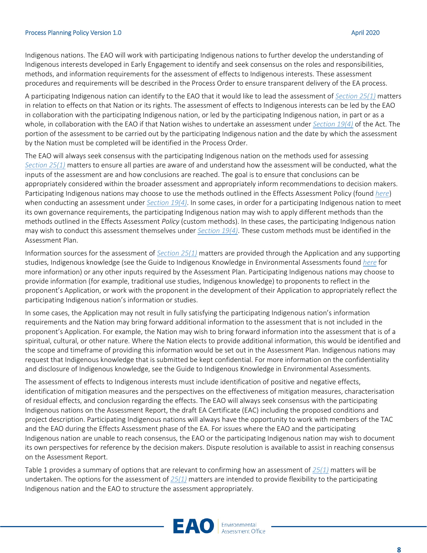Indigenous nations. The EAO will work with participating Indigenous nations to further develop the understanding of Indigenous interests developed in Early Engagement to identify and seek consensus on the roles and responsibilities, methods, and information requirements for the assessment of effects to Indigenous interests. These assessment procedures and requirements will be described in the Process Order to ensure transparent delivery of the EA process.

A participating Indigenous nation can identify to the EAO that it would like to lead the assessment of *[Section 25\(1\)](http://www.bclaws.ca/civix/document/id/complete/statreg/18051#section25)* matters in relation to effects on that Nation or its rights. The assessment of effects to Indigenous interests can be led by the EAO in collaboration with the participating Indigenous nation, or led by the participating Indigenous nation, in part or as a whole, in collaboration with the EAO if that Nation wishes to undertake an assessment under *[Section 19\(4\)](http://www.bclaws.ca/civix/document/id/complete/statreg/18051#section19)* of the Act. The portion of the assessment to be carried out by the participating Indigenous nation and the date by which the assessment by the Nation must be completed will be identified in the Process Order.

The EAO will always seek consensus with the participating Indigenous nation on the methods used for assessing *[Section](http://www.bclaws.ca/civix/document/id/complete/statreg/18051#section25) 25(1)* matters to ensure all parties are aware of and understand how the assessment will be conducted, what the inputs of the assessment are and how conclusions are reached. The goal is to ensure that conclusions can be appropriately considered within the broader assessment and appropriately inform recommendations to decision makers. Participating Indigenous nations may choose to use the methods outlined in the Effects Assessment Policy (found *[here](https://www2.gov.bc.ca/gov/content/environment/natural-resource-stewardship/environmental-assessments/guidance-documents/)*) when conducting an assessment under *[Section 19\(4\)](http://www.bclaws.ca/civix/document/id/complete/statreg/18051#section19)*. In some cases, in order for a participating Indigenous nation to meet its own governance requirements, the participating Indigenous nation may wish to apply different methods than the methods outlined in the Effects Assessment *Policy* (custom methods). In these cases, the participating Indigenous nation may wish to conduct this assessment themselves under *[Section 19\(4\)](http://www.bclaws.ca/civix/document/id/complete/statreg/18051#section19)*. These custom methods must be identified in the Assessment Plan.

Information sources for the assessment of *[Section 25\(1\)](http://www.bclaws.ca/civix/document/id/complete/statreg/18051#section25)* matters are provided through the Application and any supporting studies, Indigenous knowledge (see the Guide to Indigenous Knowledge in Environmental Assessments found *[here](https://www2.gov.bc.ca/gov/content/environment/natural-resource-stewardship/environmental-assessments/guidance-documents)* for more information) or any other inputs required by the Assessment Plan. Participating Indigenous nations may choose to provide information (for example, traditional use studies, Indigenous knowledge) to proponents to reflect in the proponent's Application, or work with the proponent in the development of their Application to appropriately reflect the participating Indigenous nation's information or studies.

In some cases, the Application may not result in fully satisfying the participating Indigenous nation's information requirements and the Nation may bring forward additional information to the assessment that is not included in the proponent's Application. For example, the Nation may wish to bring forward information into the assessment that is of a spiritual, cultural, or other nature. Where the Nation elects to provide additional information, this would be identified and the scope and timeframe of providing this information would be set out in the Assessment Plan. Indigenous nations may request that Indigenous knowledge that is submitted be kept confidential. For more information on the confidentiality and disclosure of Indigenous knowledge, see the Guide to Indigenous Knowledge in Environmental Assessments*.*

The assessment of effects to Indigenous interests must include identification of positive and negative effects, identification of mitigation measures and the perspectives on the effectiveness of mitigation measures, characterisation of residual effects, and conclusion regarding the effects. The EAO will always seek consensus with the participating Indigenous nations on the Assessment Report, the draft EA Certificate (EAC) including the proposed conditions and project description. Participating Indigenous nations will always have the opportunity to work with members of the TAC and the EAO during the Effects Assessment phase of the EA. For issues where the EAO and the participating Indigenous nation are unable to reach consensus, the EAO or the participating Indigenous nation may wish to document its own perspectives for reference by the decision makers. Dispute resolution is available to assist in reaching consensus on the Assessment Report.

Table 1 provides a summary of options that are relevant to confirming how an assessment of *[25\(1\)](http://www.bclaws.ca/civix/document/id/complete/statreg/18051#section25)* matters will be undertaken. The options for the assessment of *[25\(1\)](http://www.bclaws.ca/civix/document/id/complete/statreg/18051#section25)* matters are intended to provide flexibility to the participating Indigenous nation and the EAO to structure the assessment appropriately.



Assessment Office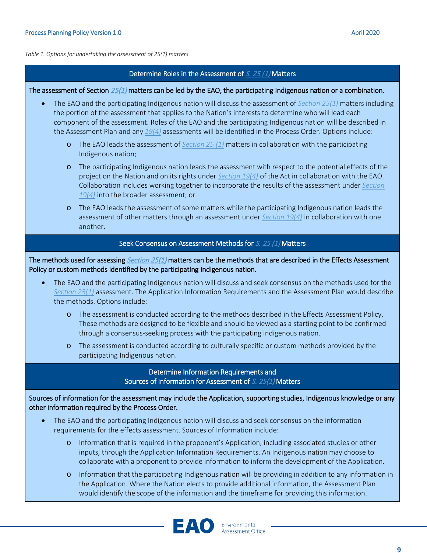*Table 1. Options for undertaking the assessment of 25(1) matters* 

#### Determine Roles in the Assessment of [S. 25 \(1\)](http://www.bclaws.ca/civix/document/id/complete/statreg/18051#section25) Matters

#### The assessment of Section [25\(1\)](http://www.bclaws.ca/civix/document/id/complete/statreg/18051#section25) matters can be led by the EAO, the participating Indigenous nation or a combination.

- The EAO and the participating Indigenous nation will discuss the assessment of *[Section 25\(1\)](http://www.bclaws.ca/civix/document/id/complete/statreg/18051#section25)* matters including the portion of the assessment that applies to the Nation's interests to determine who will lead each component of the assessment. Roles of the EAO and the participating Indigenous nation will be described in the Assessment Plan and any *[19\(4\)](http://www.bclaws.ca/civix/document/id/complete/statreg/18051#section19)* assessments will be identified in the Process Order. Options include:
	- o The EAO leads the assessment of *[Section 25 \(1\)](http://www.bclaws.ca/civix/document/id/complete/statreg/18051#section25)* matters in collaboration with the participating Indigenous nation;
	- o The participating Indigenous nation leads the assessment with respect to the potential effects of the project on the Nation and on its rights under *[Section 19\(4\)](http://www.bclaws.ca/civix/document/id/complete/statreg/18051#section19)* of the Act in collaboration with the EAO. Collaboration includes working together to incorporate the results of the assessment under *[Section](http://www.bclaws.ca/civix/document/id/complete/statreg/18051#section19)  [19\(4\)](http://www.bclaws.ca/civix/document/id/complete/statreg/18051#section19)* into the broader assessment; or
	- o The EAO leads the assessment of some matters while the participating Indigenous nation leads the assessment of other matters through an assessment under *[Section 19\(4\)](http://www.bclaws.ca/civix/document/id/complete/statreg/18051#section19)* in collaboration with one another.

#### Seek Consensus on Assessment Methods for [S. 25 \(1\)](http://www.bclaws.ca/civix/document/id/complete/statreg/18051#section25) Matters

The methods used for assessing *[Section 25\(1\)](http://www.bclaws.ca/civix/document/id/complete/statreg/18051#section25)* matters can be the methods that are described in the Effects Assessment Policy or custom methods identified by the participating Indigenous nation.

- The EAO and the participating Indigenous nation will discuss and seek consensus on the methods used for the *[Section 25\(1\)](http://www.bclaws.ca/civix/document/id/complete/statreg/18051#section25)* assessment. The Application Information Requirements and the Assessment Plan would describe the methods. Options include:
	- o The assessment is conducted according to the methods described in the Effects Assessment Policy. These methods are designed to be flexible and should be viewed as a starting point to be confirmed through a consensus-seeking process with the participating Indigenous nation.
	- o The assessment is conducted according to culturally specific or custom methods provided by the participating Indigenous nation.

Determine Information Requirements and Sources of Information for Assessment of [S. 25\(1\)](http://www.bclaws.ca/civix/document/id/complete/statreg/18051#section25) Matters

Sources of information for the assessment may include the Application, supporting studies, Indigenous knowledge or any other information required by the Process Order.

- The EAO and the participating Indigenous nation will discuss and seek consensus on the information requirements for the effects assessment. Sources of Information include:
	- o Information that is required in the proponent's Application, including associated studies or other inputs, through the Application Information Requirements. An Indigenous nation may choose to collaborate with a proponent to provide information to inform the development of the Application.
	- o Information that the participating Indigenous nation will be providing in addition to any information in the Application. Where the Nation elects to provide additional information, the Assessment Plan would identify the scope of the information and the timeframe for providing this information.

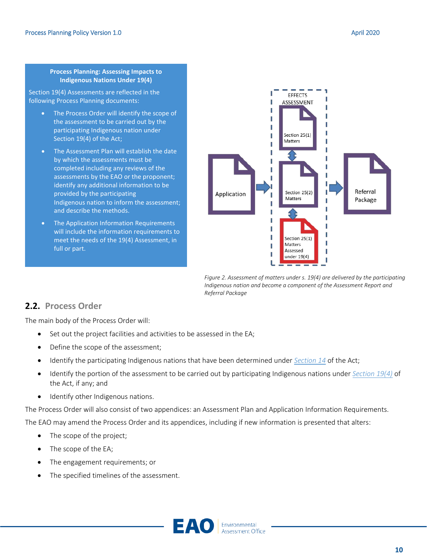#### **Process Planning: Assessing Impacts to Indigenous Nations Under 19(4)**

Section 19(4) Assessments are reflected in the following Process Planning documents:

- The Process Order will identify the scope of the assessment to be carried out by the participating Indigenous nation under Section 19(4) of the Act;
- The Assessment Plan will establish the date by which the assessments must be completed including any reviews of the assessments by the EAO or the proponent; identify any additional information to be provided by the participating Indigenous nation to inform the assessment; and describe the methods.
- The Application Information Requirements will include the information requirements to meet the needs of the 19(4) Assessment, in full or part.



*Figure 2. Assessment of matters under s. 19(4) are delivered by the participating Indigenous nation and become a component of the Assessment Report and Referral Package*

# <span id="page-9-0"></span>**2.2. Process Order**

The main body of the Process Order will:

- Set out the project facilities and activities to be assessed in the EA;
- Define the scope of the assessment;
- Identify the participating Indigenous nations that have been determined under *[Section](http://www.bclaws.ca/civix/document/id/complete/statreg/18051#section14) 14* of the Act;
- Identify the portion of the assessment to be carried out by participating Indigenous nations under *[Section 19\(4\)](http://www.bclaws.ca/civix/document/id/complete/statreg/18051#section19)* of the Act, if any; and
- Identify other Indigenous nations.

The Process Order will also consist of two appendices: an Assessment Plan and Application Information Requirements.

The EAO may amend the Process Order and its appendices, including if new information is presented that alters:

- The scope of the project;
- The scope of the EA;
- The engagement requirements; or
- The specified timelines of the assessment.

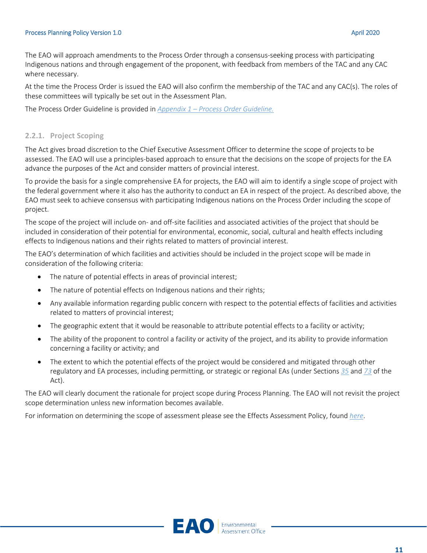#### Process Planning Policy Version 1.0 April 2020 **April 2020** April 2020 April 2020 April 2020 April 2020 April 2020

The EAO will approach amendments to the Process Order through a consensus-seeking process with participating Indigenous nations and through engagement of the proponent, with feedback from members of the TAC and any CAC where necessary.

At the time the Process Order is issued the EAO will also confirm the membership of the TAC and any CAC(s). The roles of these committees will typically be set out in the Assessment Plan.

The Process Order Guideline is provided in *Appendix 1 – [Process Order Guideline.](#page-14-0)*

#### **2.2.1. Project Scoping**

The Act gives broad discretion to the Chief Executive Assessment Officer to determine the scope of projects to be assessed. The EAO will use a principles-based approach to ensure that the decisions on the scope of projects for the EA advance the purposes of the Act and consider matters of provincial interest.

To provide the basis for a single comprehensive EA for projects, the EAO will aim to identify a single scope of project with the federal government where it also has the authority to conduct an EA in respect of the project. As described above, the EAO must seek to achieve consensus with participating Indigenous nations on the Process Order including the scope of project.

The scope of the project will include on- and off-site facilities and associated activities of the project that should be included in consideration of their potential for environmental, economic, social, cultural and health effects including effects to Indigenous nations and their rights related to matters of provincial interest.

The EAO's determination of which facilities and activities should be included in the project scope will be made in consideration of the following criteria:

- The nature of potential effects in areas of provincial interest;
- The nature of potential effects on Indigenous nations and their rights;
- Any available information regarding public concern with respect to the potential effects of facilities and activities related to matters of provincial interest;
- The geographic extent that it would be reasonable to attribute potential effects to a facility or activity;
- The ability of the proponent to control a facility or activity of the project, and its ability to provide information concerning a facility or activity; and
- The extent to which the potential effects of the project would be considered and mitigated through other regulatory and EA processes, including permitting, or strategic or regional EAs (under Sections *[35](http://www.bclaws.ca/civix/document/id/complete/statreg/18051#section35)* and *[73](http://www.bclaws.ca/civix/document/id/complete/statreg/18051#section73)* of the Act).

The EAO will clearly document the rationale for project scope during Process Planning. The EAO will not revisit the project scope determination unless new information becomes available.

For information on determining the scope of assessment please see the Effects Assessment Policy, found *[here](https://www2.gov.bc.ca/gov/content/environment/natural-resource-stewardship/environmental-assessments/guidance-documents)*.

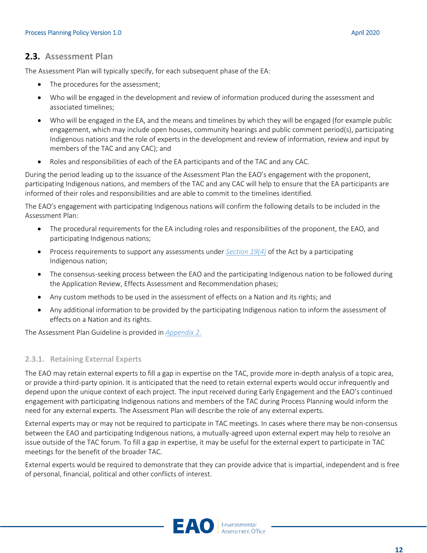### <span id="page-11-0"></span>**2.3. Assessment Plan**

The Assessment Plan will typically specify, for each subsequent phase of the EA:

- The procedures for the assessment;
- Who will be engaged in the development and review of information produced during the assessment and associated timelines;
- Who will be engaged in the EA, and the means and timelines by which they will be engaged (for example public engagement, which may include open houses, community hearings and public comment period(s), participating Indigenous nations and the role of experts in the development and review of information, review and input by members of the TAC and any CAC); and
- Roles and responsibilities of each of the EA participants and of the TAC and any CAC.

During the period leading up to the issuance of the Assessment Plan the EAO's engagement with the proponent, participating Indigenous nations, and members of the TAC and any CAC will help to ensure that the EA participants are informed of their roles and responsibilities and are able to commit to the timelines identified.

The EAO's engagement with participating Indigenous nations will confirm the following details to be included in the Assessment Plan:

- The procedural requirements for the EA including roles and responsibilities of the proponent, the EAO, and participating Indigenous nations;
- Process requirements to support any assessments under *[Section 19\(4\)](http://www.bclaws.ca/civix/document/id/complete/statreg/18051#section19)* of the Act by a participating Indigenous nation;
- The consensus-seeking process between the EAO and the participating Indigenous nation to be followed during the Application Review, Effects Assessment and Recommendation phases;
- Any custom methods to be used in the assessment of effects on a Nation and its rights; and
- Any additional information to be provided by the participating Indigenous nation to inform the assessment of effects on a Nation and its rights.

The Assessment Plan Guideline is provided in *[Appendix 2](#page-16-0)*.

#### **2.3.1. Retaining External Experts**

The EAO may retain external experts to fill a gap in expertise on the TAC, provide more in-depth analysis of a topic area, or provide a third-party opinion. It is anticipated that the need to retain external experts would occur infrequently and depend upon the unique context of each project. The input received during Early Engagement and the EAO's continued engagement with participating Indigenous nations and members of the TAC during Process Planning would inform the need for any external experts. The Assessment Plan will describe the role of any external experts.

External experts may or may not be required to participate in TAC meetings. In cases where there may be non-consensus between the EAO and participating Indigenous nations, a mutually-agreed upon external expert may help to resolve an issue outside of the TAC forum. To fill a gap in expertise, it may be useful for the external expert to participate in TAC meetings for the benefit of the broader TAC.

External experts would be required to demonstrate that they can provide advice that is impartial, independent and is free of personal, financial, political and other conflicts of interest.

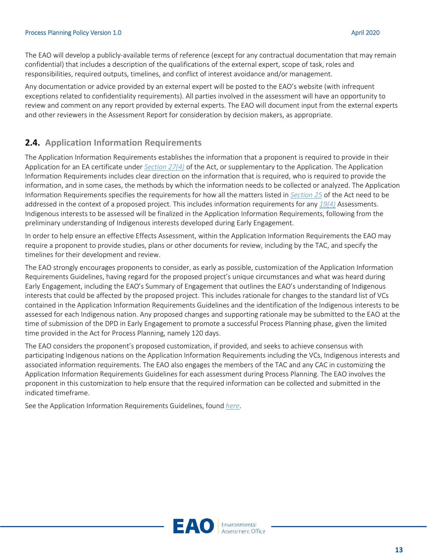The EAO will develop a publicly-available terms of reference (except for any contractual documentation that may remain confidential) that includes a description of the qualifications of the external expert, scope of task, roles and responsibilities, required outputs, timelines, and conflict of interest avoidance and/or management.

Any documentation or advice provided by an external expert will be posted to the EAO's website (with infrequent exceptions related to confidentiality requirements). All parties involved in the assessment will have an opportunity to review and comment on any report provided by external experts. The EAO will document input from the external experts and other reviewers in the Assessment Report for consideration by decision makers, as appropriate.

# <span id="page-12-0"></span>**2.4. Application Information Requirements**

The Application Information Requirements establishes the information that a proponent is required to provide in their Application for an EA certificate under *[Section 27\(4\)](http://www.bclaws.ca/civix/document/id/complete/statreg/18051#section27)* of the Act, or supplementary to the Application. The Application Information Requirements includes clear direction on the information that is required, who is required to provide the information, and in some cases, the methods by which the information needs to be collected or analyzed. The Application Information Requirements specifies the requirements for how all the matters listed in *[Section 25](http://www.bclaws.ca/civix/document/id/complete/statreg/18051#section25)* of the Act need to be addressed in the context of a proposed project. This includes information requirements for any *[19\(4\)](http://www.bclaws.ca/civix/document/id/complete/statreg/18051#section19)* Assessments. Indigenous interests to be assessed will be finalized in the Application Information Requirements, following from the preliminary understanding of Indigenous interests developed during Early Engagement.

In order to help ensure an effective Effects Assessment, within the Application Information Requirements the EAO may require a proponent to provide studies, plans or other documents for review, including by the TAC, and specify the timelines for their development and review.

The EAO strongly encourages proponents to consider, as early as possible, customization of the Application Information Requirements Guidelines, having regard for the proposed project's unique circumstances and what was heard during Early Engagement, including the EAO's Summary of Engagement that outlines the EAO's understanding of Indigenous interests that could be affected by the proposed project. This includes rationale for changes to the standard list of VCs contained in the Application Information Requirements Guidelines and the identification of the Indigenous interests to be assessed for each Indigenous nation. Any proposed changes and supporting rationale may be submitted to the EAO at the time of submission of the DPD in Early Engagement to promote a successful Process Planning phase, given the limited time provided in the Act for Process Planning, namely 120 days.

The EAO considers the proponent's proposed customization, if provided, and seeks to achieve consensus with participating Indigenous nations on the Application Information Requirements including the VCs, Indigenous interests and associated information requirements. The EAO also engages the members of the TAC and any CAC in customizing the Application Information Requirements Guidelines for each assessment during Process Planning. The EAO involves the proponent in this customization to help ensure that the required information can be collected and submitted in the indicated timeframe.

See the Application Information Requirements Guidelines, found *[here](https://www2.gov.bc.ca/gov/content/environment/natural-resource-stewardship/environmental-assessments/guidance-documents)*.

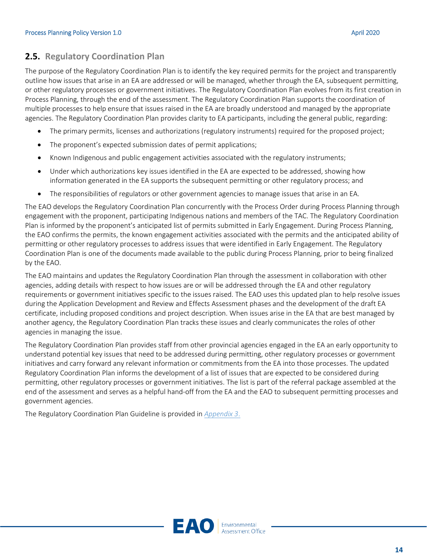# <span id="page-13-0"></span>**2.5. Regulatory Coordination Plan**

The purpose of the Regulatory Coordination Plan is to identify the key required permits for the project and transparently outline how issues that arise in an EA are addressed or will be managed, whether through the EA, subsequent permitting, or other regulatory processes or government initiatives. The Regulatory Coordination Plan evolves from its first creation in Process Planning, through the end of the assessment. The Regulatory Coordination Plan supports the coordination of multiple processes to help ensure that issues raised in the EA are broadly understood and managed by the appropriate agencies. The Regulatory Coordination Plan provides clarity to EA participants, including the general public, regarding:

- The primary permits, licenses and authorizations (regulatory instruments) required for the proposed project;
- The proponent's expected submission dates of permit applications;
- Known Indigenous and public engagement activities associated with the regulatory instruments;
- Under which authorizations key issues identified in the EA are expected to be addressed, showing how information generated in the EA supports the subsequent permitting or other regulatory process; and
- The responsibilities of regulators or other government agencies to manage issues that arise in an EA.

The EAO develops the Regulatory Coordination Plan concurrently with the Process Order during Process Planning through engagement with the proponent, participating Indigenous nations and members of the TAC. The Regulatory Coordination Plan is informed by the proponent's anticipated list of permits submitted in Early Engagement. During Process Planning, the EAO confirms the permits, the known engagement activities associated with the permits and the anticipated ability of permitting or other regulatory processes to address issues that were identified in Early Engagement. The Regulatory Coordination Plan is one of the documents made available to the public during Process Planning, prior to being finalized by the EAO.

The EAO maintains and updates the Regulatory Coordination Plan through the assessment in collaboration with other agencies, adding details with respect to how issues are or will be addressed through the EA and other regulatory requirements or government initiatives specific to the issues raised. The EAO uses this updated plan to help resolve issues during the Application Development and Review and Effects Assessment phases and the development of the draft EA certificate, including proposed conditions and project description. When issues arise in the EA that are best managed by another agency, the Regulatory Coordination Plan tracks these issues and clearly communicates the roles of other agencies in managing the issue.

The Regulatory Coordination Plan provides staff from other provincial agencies engaged in the EA an early opportunity to understand potential key issues that need to be addressed during permitting, other regulatory processes or government initiatives and carry forward any relevant information or commitments from the EA into those processes. The updated Regulatory Coordination Plan informs the development of a list of issues that are expected to be considered during permitting, other regulatory processes or government initiatives. The list is part of the referral package assembled at the end of the assessment and serves as a helpful hand-off from the EA and the EAO to subsequent permitting processes and government agencies.

The Regulatory Coordination Plan Guideline is provided in *[Appendix](#page-27-0) 3*.

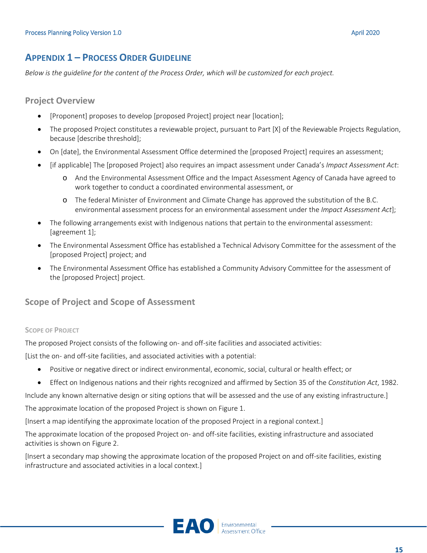# <span id="page-14-0"></span>**APPENDIX 1 – PROCESS ORDER GUIDELINE**

*Below is the guideline for the content of the Process Order, which will be customized for each project.* 

**Project Overview**

- [Proponent] proposes to develop [proposed Project] project near [location];
- The proposed Project constitutes a reviewable project, pursuant to Part [X] of the Reviewable Projects Regulation, because [describe threshold];
- On [date], the Environmental Assessment Office determined the [proposed Project] requires an assessment;
- [if applicable] The [proposed Project] also requires an impact assessment under Canada's *Impact Assessment Act*:
	- o And the Environmental Assessment Office and the Impact Assessment Agency of Canada have agreed to work together to conduct a coordinated environmental assessment, or
	- o The federal Minister of Environment and Climate Change has approved the substitution of the B.C. environmental assessment process for an environmental assessment under the *Impact Assessment Act*];
- The following arrangements exist with Indigenous nations that pertain to the environmental assessment: [agreement 1];
- The Environmental Assessment Office has established a Technical Advisory Committee for the assessment of the [proposed Project] project; and
- The Environmental Assessment Office has established a Community Advisory Committee for the assessment of the [proposed Project] project.

## **Scope of Project and Scope of Assessment**

#### **SCOPE OF PROJECT**

The proposed Project consists of the following on- and off-site facilities and associated activities:

[List the on- and off-site facilities, and associated activities with a potential:

- Positive or negative direct or indirect environmental, economic, social, cultural or health effect; or
- Effect on Indigenous nations and their rights recognized and affirmed by Section 35 of the *Constitution Act*, 1982.

Include any known alternative design or siting options that will be assessed and the use of any existing infrastructure.] The approximate location of the proposed Project is shown on Figure 1.

[Insert a map identifying the approximate location of the proposed Project in a regional context.]

The approximate location of the proposed Project on- and off-site facilities, existing infrastructure and associated activities is shown on Figure 2.

[Insert a secondary map showing the approximate location of the proposed Project on and off-site facilities, existing infrastructure and associated activities in a local context.]

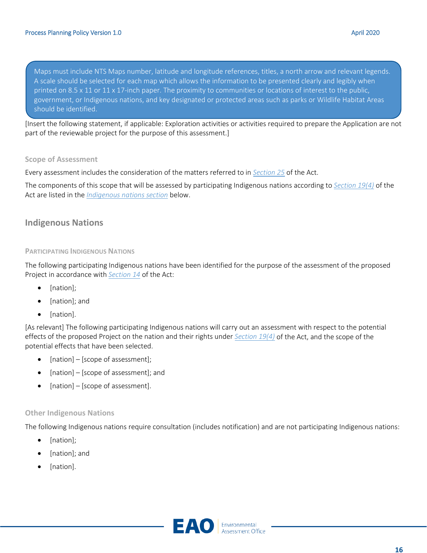Maps must include NTS Maps number, latitude and longitude references, titles, a north arrow and relevant legends. A scale should be selected for each map which allows the information to be presented clearly and legibly when printed on 8.5 x 11 or 11 x 17-inch paper. The proximity to communities or locations of interest to the public, government, or Indigenous nations, and key designated or protected areas such as parks or Wildlife Habitat Areas should be identified.

[Insert the following statement, if applicable: Exploration activities or activities required to prepare the Application are not part of the reviewable project for the purpose of this assessment.]

#### **Scope of Assessment**

Every assessment includes the consideration of the matters referred to in *[Section 25](http://www.bclaws.ca/civix/document/id/complete/statreg/18051#section25)* of the Act.

The components of this scope that will be assessed by participating Indigenous nations according to *[Section 19\(4\)](http://www.bclaws.ca/civix/document/id/complete/statreg/18051#section19)* of the Act are listed in the *[Indigenous nations section](#page-15-0)* below.

#### <span id="page-15-0"></span>**Indigenous Nations**

#### **PARTICIPATING INDIGENOUS NATIONS**

The following participating Indigenous nations have been identified for the purpose of the assessment of the proposed Project in accordance with *[Section 14](http://www.bclaws.ca/civix/document/id/complete/statreg/18051#section14)* of the Act:

- [nation];
- [nation]; and
- [nation].

[As relevant] The following participating Indigenous nations will carry out an assessment with respect to the potential effects of the proposed Project on the nation and their rights under *[Section 19\(4\)](http://www.bclaws.ca/civix/document/id/complete/statreg/18051#section19)* of the Act, and the scope of the potential effects that have been selected.

- $[$ nation $]$   $[scope$  of assessment $]$ ;
- [nation] [scope of assessment]; and
- $[$ nation $]$   $[scope$  of assessment $]$ .

#### **Other Indigenous Nations**

The following Indigenous nations require consultation (includes notification) and are not participating Indigenous nations:

- [nation];
- [nation]; and
- [nation].

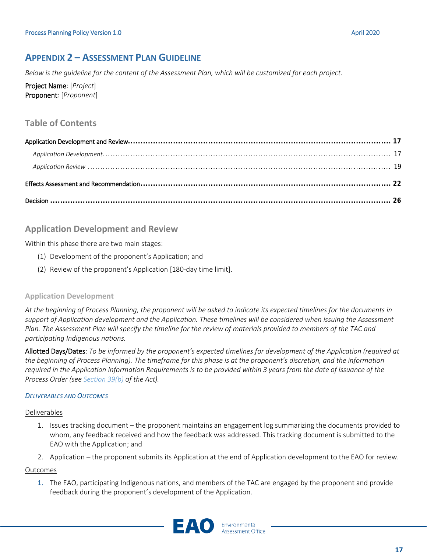# <span id="page-16-0"></span>**APPENDIX 2 – ASSESSMENT PLAN GUIDELINE**

*Below is the guideline for the content of the Assessment Plan, which will be customized for each project.* 

Project Name: [*Project*] Proponent: [*Proponent*]

# **Table of Contents**

## <span id="page-16-1"></span>**Application Development and Review**

Within this phase there are two main stages:

- (1) Development of the proponent's Application; and
- (2) Review of the proponent's Application [180-day time limit].

#### <span id="page-16-2"></span>**Application Development**

*At the beginning of Process Planning, the proponent will be asked to indicate its expected timelines for the documents in support of Application development and the Application. These timelines will be considered when issuing the Assessment Plan. The Assessment Plan will specify the timeline for the review of materials provided to members of the TAC and participating Indigenous nations.*

Allotted Days/Dates: *To be informed by the proponent's expected timelines for development of the Application (required at the beginning of Process Planning). The timeframe for this phase is at the proponent's discretion, and the information required in the Application Information Requirements is to be provided within 3 years from the date of issuance of the Process Order (see [Section 39\(b\)](http://www.bclaws.ca/civix/document/id/complete/statreg/18051#section39) of the Act).* 

#### *DELIVERABLES AND OUTCOMES*

#### Deliverables

- 1. Issues tracking document the proponent maintains an engagement log summarizing the documents provided to whom, any feedback received and how the feedback was addressed. This tracking document is submitted to the EAO with the Application; and
- 2. Application the proponent submits its Application at the end of Application development to the EAO for review.

#### Outcomes

1. The EAO, participating Indigenous nations, and members of the TAC are engaged by the proponent and provide feedback during the proponent's development of the Application.

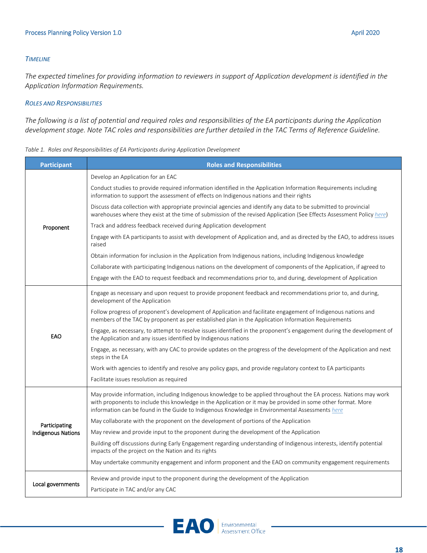#### *TIMELINE*

*The expected timelines for providing information to reviewers in support of Application development is identified in the Application Information Requirements.* 

#### *ROLES AND RESPONSIBILITIES*

*The following is a list of potential and required roles and responsibilities of the EA participants during the Application development stage. Note TAC roles and responsibilities are further detailed in the TAC Terms of Reference Guideline.*

*Table 1. Roles and Responsibilities of EA Participants during Application Development*

| <b>Participant</b>        | <b>Roles and Responsibilities</b>                                                                                                                                                                                                                                                                                                     |
|---------------------------|---------------------------------------------------------------------------------------------------------------------------------------------------------------------------------------------------------------------------------------------------------------------------------------------------------------------------------------|
|                           | Develop an Application for an EAC                                                                                                                                                                                                                                                                                                     |
|                           | Conduct studies to provide required information identified in the Application Information Requirements including<br>information to support the assessment of effects on Indigenous nations and their rights                                                                                                                           |
|                           | Discuss data collection with appropriate provincial agencies and identify any data to be submitted to provincial<br>warehouses where they exist at the time of submission of the revised Application (See Effects Assessment Policy here)                                                                                             |
| Proponent                 | Track and address feedback received during Application development                                                                                                                                                                                                                                                                    |
|                           | Engage with EA participants to assist with development of Application and, and as directed by the EAO, to address issues<br>raised                                                                                                                                                                                                    |
|                           | Obtain information for inclusion in the Application from Indigenous nations, including Indigenous knowledge                                                                                                                                                                                                                           |
|                           | Collaborate with participating Indigenous nations on the development of components of the Application, if agreed to                                                                                                                                                                                                                   |
|                           | Engage with the EAO to request feedback and recommendations prior to, and during, development of Application                                                                                                                                                                                                                          |
|                           | Engage as necessary and upon request to provide proponent feedback and recommendations prior to, and during,<br>development of the Application                                                                                                                                                                                        |
|                           | Follow progress of proponent's development of Application and facilitate engagement of Indigenous nations and<br>members of the TAC by proponent as per established plan in the Application Information Requirements                                                                                                                  |
| EAO                       | Engage, as necessary, to attempt to resolve issues identified in the proponent's engagement during the development of<br>the Application and any issues identified by Indigenous nations                                                                                                                                              |
|                           | Engage, as necessary, with any CAC to provide updates on the progress of the development of the Application and next<br>steps in the EA                                                                                                                                                                                               |
|                           | Work with agencies to identify and resolve any policy gaps, and provide regulatory context to EA participants                                                                                                                                                                                                                         |
|                           | Facilitate issues resolution as required                                                                                                                                                                                                                                                                                              |
|                           | May provide information, including Indigenous knowledge to be applied throughout the EA process. Nations may work<br>with proponents to include this knowledge in the Application or it may be provided in some other format. More<br>information can be found in the Guide to Indigenous Knowledge in Environmental Assessments here |
| Participating             | May collaborate with the proponent on the development of portions of the Application                                                                                                                                                                                                                                                  |
| <b>Indigenous Nations</b> | May review and provide input to the proponent during the development of the Application                                                                                                                                                                                                                                               |
|                           | Building off discussions during Early Engagement regarding understanding of Indigenous interests, identify potential<br>impacts of the project on the Nation and its rights                                                                                                                                                           |
|                           | May undertake community engagement and inform proponent and the EAO on community engagement requirements                                                                                                                                                                                                                              |
|                           | Review and provide input to the proponent during the development of the Application                                                                                                                                                                                                                                                   |
| Local governments         | Participate in TAC and/or any CAC                                                                                                                                                                                                                                                                                                     |

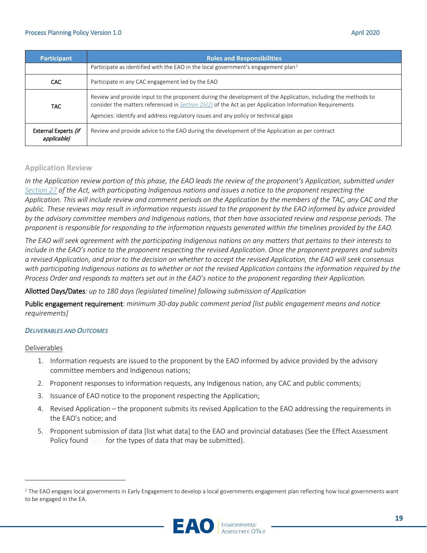| <b>Participant</b>                  | <b>Roles and Responsibilities</b>                                                                                                                                                                                                                                                                             |
|-------------------------------------|---------------------------------------------------------------------------------------------------------------------------------------------------------------------------------------------------------------------------------------------------------------------------------------------------------------|
|                                     | Participate as identified with the EAO in the local government's engagement plan <sup>2</sup>                                                                                                                                                                                                                 |
| CAC.                                | Participate in any CAC engagement led by the EAO                                                                                                                                                                                                                                                              |
| <b>TAC</b>                          | Review and provide input to the proponent during the development of the Application, including the methods to<br>consider the matters referenced in Section 25(2) of the Act as per Application Information Requirements<br>Agencies: Identify and address regulatory issues and any policy or technical gaps |
| External Experts (if<br>applicable) | Review and provide advice to the EAO during the development of the Application as per contract                                                                                                                                                                                                                |

#### <span id="page-18-0"></span>**Application Review**

*In the Application review portion of this phase, the EAO leads the review of the proponent's Application, submitted under [Section 27](http://www.bclaws.ca/civix/document/id/complete/statreg/18051#section27) of the Act, with participating Indigenous nations and issues a notice to the proponent respecting the Application. This will include review and comment periods on the Application by the members of the TAC, any CAC and the public. These reviews may result in information requests issued to the proponent by the EAO informed by advice provided by the advisory committee members and Indigenous nations, that then have associated review and response periods. The proponent is responsible for responding to the information requests generated within the timelines provided by the EAO.* 

*The EAO will seek agreement with the participating Indigenous nations on any matters that pertains to their interests to include in the EAO's notice to the proponent respecting the revised Application. Once the proponent prepares and submits a revised Application, and prior to the decision on whether to accept the revised Application, the EAO will seek consensus with participating Indigenous nations as to whether or not the revised Application contains the information required by the Process Order and responds to matters set out in the EAO's notice to the proponent regarding their Application.* 

Allotted Days/Dates*: up to 180 days (legislated timeline) following submission of Application*

Public engagement requirement: *minimum 30-day public comment period [list public engagement means and notice requirements]*

#### *DELIVERABLES AND OUTCOMES*

#### Deliverables

 $\overline{a}$ 

- 1. Information requests are issued to the proponent by the EAO informed by advice provided by the advisory committee members and Indigenous nations;
- 2. Proponent responses to information requests, any Indigenous nation, any CAC and public comments;
- 3. Issuance of EAO notice to the proponent respecting the Application;
- 4. Revised Application the proponent submits its revised Application to the EAO addressing the requirements in the EAO's notice; and
- 5. Proponent submission of data [list what data] to the EAO and provincial databases (See the Effect Assessment Policy found [here](https://www2.gov.bc.ca/gov/content/environment/natural-resource-stewardship/environmental-assessments/guidance-documents/2018-act-guidance-materials) for the types of data that may be submitted).

<span id="page-18-1"></span><sup>&</sup>lt;sup>2</sup> The EAO engages local governments in Early Engagement to develop a local governments engagement plan reflecting how local governments want to be engaged in the EA.

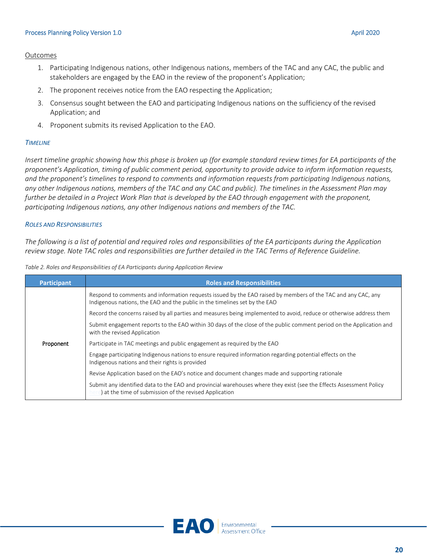#### Outcomes

- 1. Participating Indigenous nations, other Indigenous nations, members of the TAC and any CAC, the public and stakeholders are engaged by the EAO in the review of the proponent's Application;
- 2. The proponent receives notice from the EAO respecting the Application;
- 3. Consensus sought between the EAO and participating Indigenous nations on the sufficiency of the revised Application; and
- 4. Proponent submits its revised Application to the EAO.

#### *TIMELINE*

*Insert timeline graphic showing how this phase is broken up (for example standard review times for EA participants of the proponent's Application, timing of public comment period, opportunity to provide advice to inform information requests, and the proponent's timelines to respond to comments and information requests from participating Indigenous nations, any other Indigenous nations, members of the TAC and any CAC and public). The timelines in the Assessment Plan may further be detailed in a Project Work Plan that is developed by the EAO through engagement with the proponent, participating Indigenous nations, any other Indigenous nations and members of the TAC.*

#### *ROLES AND RESPONSIBILITIES*

*The following is a list of potential and required roles and responsibilities of the EA participants during the Application review stage. Note TAC roles and responsibilities are further detailed in the TAC Terms of Reference Guideline.*

*Table 2. Roles and Responsibilities of EA Participants during Application Review* 

| <b>Participant</b> | <b>Roles and Responsibilities</b>                                                                                                                                                          |
|--------------------|--------------------------------------------------------------------------------------------------------------------------------------------------------------------------------------------|
|                    | Respond to comments and information requests issued by the EAO raised by members of the TAC and any CAC, any<br>Indigenous nations, the EAO and the public in the timelines set by the EAO |
|                    | Record the concerns raised by all parties and measures being implemented to avoid, reduce or otherwise address them                                                                        |
|                    | Submit engagement reports to the EAO within 30 days of the close of the public comment period on the Application and<br>with the revised Application                                       |
| Proponent          | Participate in TAC meetings and public engagement as required by the EAO                                                                                                                   |
|                    | Engage participating Indigenous nations to ensure required information regarding potential effects on the<br>Indigenous nations and their rights is provided                               |
|                    | Revise Application based on the EAO's notice and document changes made and supporting rationale                                                                                            |
|                    | Submit any identified data to the EAO and provincial warehouses where they exist (see the Effects Assessment Policy<br>at the time of submission of the revised Application                |

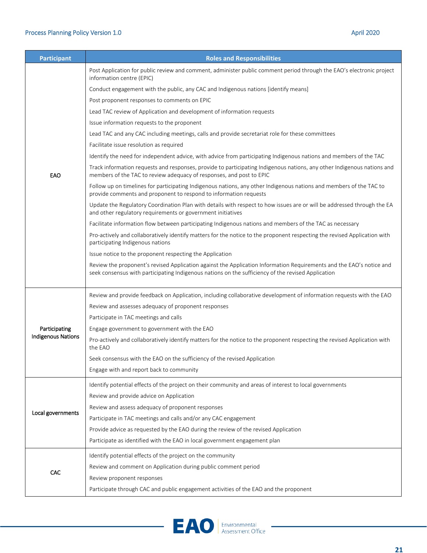| <b>Participant</b>        | <b>Roles and Responsibilities</b>                                                                                                                                                                                          |
|---------------------------|----------------------------------------------------------------------------------------------------------------------------------------------------------------------------------------------------------------------------|
|                           | Post Application for public review and comment, administer public comment period through the EAO's electronic project<br>information centre (EPIC)                                                                         |
|                           | Conduct engagement with the public, any CAC and Indigenous nations [identify means]                                                                                                                                        |
|                           | Post proponent responses to comments on EPIC                                                                                                                                                                               |
|                           | Lead TAC review of Application and development of information requests                                                                                                                                                     |
|                           | Issue information requests to the proponent                                                                                                                                                                                |
|                           | Lead TAC and any CAC including meetings, calls and provide secretariat role for these committees                                                                                                                           |
|                           | Facilitate issue resolution as required                                                                                                                                                                                    |
|                           | Identify the need for independent advice, with advice from participating Indigenous nations and members of the TAC                                                                                                         |
| EAO                       | Track information requests and responses, provide to participating Indigenous nations, any other Indigenous nations and<br>members of the TAC to review adequacy of responses, and post to EPIC                            |
|                           | Follow up on timelines for participating Indigenous nations, any other Indigenous nations and members of the TAC to<br>provide comments and proponent to respond to information requests                                   |
|                           | Update the Regulatory Coordination Plan with details with respect to how issues are or will be addressed through the EA<br>and other regulatory requirements or government initiatives                                     |
|                           | Facilitate information flow between participating Indigenous nations and members of the TAC as necessary                                                                                                                   |
|                           | Pro-actively and collaboratively identify matters for the notice to the proponent respecting the revised Application with<br>participating Indigenous nations                                                              |
|                           | Issue notice to the proponent respecting the Application                                                                                                                                                                   |
|                           | Review the proponent's revised Application against the Application Information Requirements and the EAO's notice and<br>seek consensus with participating Indigenous nations on the sufficiency of the revised Application |
|                           | Review and provide feedback on Application, including collaborative development of information requests with the EAO                                                                                                       |
|                           | Review and assesses adequacy of proponent responses                                                                                                                                                                        |
|                           | Participate in TAC meetings and calls                                                                                                                                                                                      |
| Participating             | Engage government to government with the EAO                                                                                                                                                                               |
| <b>Indigenous Nations</b> | Pro-actively and collaboratively identify matters for the notice to the proponent respecting the revised Application with<br>the EAO                                                                                       |
|                           | Seek consensus with the EAO on the sufficiency of the revised Application                                                                                                                                                  |
|                           | Engage with and report back to community                                                                                                                                                                                   |
|                           | Identify potential effects of the project on their community and areas of interest to local governments                                                                                                                    |
|                           | Review and provide advice on Application                                                                                                                                                                                   |
|                           | Review and assess adequacy of proponent responses                                                                                                                                                                          |
| Local governments         | Participate in TAC meetings and calls and/or any CAC engagement                                                                                                                                                            |
|                           | Provide advice as requested by the EAO during the review of the revised Application                                                                                                                                        |
|                           | Participate as identified with the EAO in local government engagement plan                                                                                                                                                 |
|                           | Identify potential effects of the project on the community                                                                                                                                                                 |
|                           | Review and comment on Application during public comment period                                                                                                                                                             |
| <b>CAC</b>                | Review proponent responses                                                                                                                                                                                                 |
|                           | Participate through CAC and public engagement activities of the EAO and the proponent                                                                                                                                      |

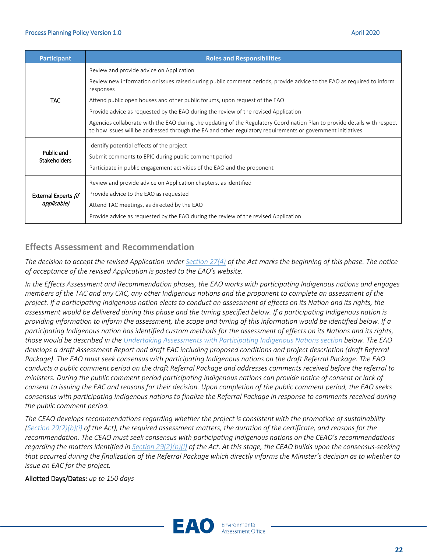| <b>Participant</b>                | <b>Roles and Responsibilities</b>                                                                                                                                                                                                       |
|-----------------------------------|-----------------------------------------------------------------------------------------------------------------------------------------------------------------------------------------------------------------------------------------|
|                                   | Review and provide advice on Application                                                                                                                                                                                                |
|                                   | Review new information or issues raised during public comment periods, provide advice to the EAO as required to inform<br>responses                                                                                                     |
| TAC.                              | Attend public open houses and other public forums, upon request of the EAO                                                                                                                                                              |
|                                   | Provide advice as requested by the EAO during the review of the revised Application                                                                                                                                                     |
|                                   | Agencies collaborate with the EAO during the updating of the Regulatory Coordination Plan to provide details with respect<br>to how issues will be addressed through the EA and other regulatory requirements or government initiatives |
|                                   | Identify potential effects of the project                                                                                                                                                                                               |
| Public and<br><b>Stakeholders</b> | Submit comments to EPIC during public comment period                                                                                                                                                                                    |
|                                   | Participate in public engagement activities of the EAO and the proponent                                                                                                                                                                |
|                                   | Review and provide advice on Application chapters, as identified                                                                                                                                                                        |
| External Experts (if              | Provide advice to the EAO as requested                                                                                                                                                                                                  |
| applicable)                       | Attend TAC meetings, as directed by the EAO                                                                                                                                                                                             |
|                                   | Provide advice as requested by the EAO during the review of the revised Application                                                                                                                                                     |

# <span id="page-21-0"></span>**Effects Assessment and Recommendation**

*The decision to accept the revised Application unde[r Section 27\(4\)](http://www.bclaws.ca/civix/document/id/complete/statreg/18051#section27) of the Act marks the beginning of this phase. The notice of acceptance of the revised Application is posted to the EAO's website.*

*In the Effects Assessment and Recommendation phases, the EAO works with participating Indigenous nations and engages members of the TAC and any CAC, any other Indigenous nations and the proponent to complete an assessment of the project. If a participating Indigenous nation elects to conduct an assessment of effects on its Nation and its rights, the assessment would be delivered during this phase and the timing specified below. If a participating Indigenous nation is providing information to inform the assessment, the scope and timing of this information would be identified below. If a participating Indigenous nation has identified custom methods for the assessment of effects on its Nations and its rights, those would be described in the [Undertaking Assessments with Participating Indigenous Nations section](#page-6-0) below. The EAO develops a draft Assessment Report and draft EAC including proposed conditions and project description (draft Referral Package). The EAO must seek consensus with participating Indigenous nations on the draft Referral Package. The EAO conducts a public comment period on the draft Referral Package and addresses comments received before the referral to ministers. During the public comment period participating Indigenous nations can provide notice of consent or lack of consent to issuing the EAC and reasons for their decision. Upon completion of the public comment period, the EAO seeks consensus with participating Indigenous nations to finalize the Referral Package in response to comments received during the public comment period.* 

*The CEAO develops recommendations regarding whether the project is consistent with the promotion of sustainability [\(Section 29\(2\)\(b\)\(i\)](http://www.bclaws.ca/civix/document/id/complete/statreg/18051#section29) of the Act), the required assessment matters, the duration of the certificate, and reasons for the recommendation. The CEAO must seek consensus with participating Indigenous nations on the CEAO's recommendations regarding the matters identified i[n Section 29\(2\)\(b\)\(i\)](http://www.bclaws.ca/civix/document/id/complete/statreg/18051#section29) of the Act. At this stage, the CEAO builds upon the consensus-seeking that occurred during the finalization of the Referral Package which directly informs the Minister's decision as to whether to issue an EAC for the project.*

Allotted Days/Dates: *up to 150 days* 

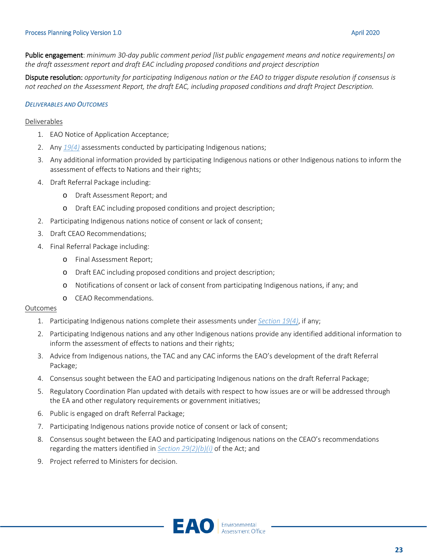Public engagement: *minimum 30-day public comment period [list public engagement means and notice requirements] on the draft assessment report and draft EAC including proposed conditions and project description*

Dispute resolution: *opportunity for participating Indigenous nation or the EAO to trigger dispute resolution if consensus is not reached on the Assessment Report, the draft EAC, including proposed conditions and draft Project Description.* 

#### *DELIVERABLES AND OUTCOMES*

#### Deliverables

- 1. EAO Notice of Application Acceptance;
- 2. Any *[19\(4\)](http://www.bclaws.ca/civix/document/id/complete/statreg/18051#section19)* assessments conducted by participating Indigenous nations;
- 3. Any additional information provided by participating Indigenous nations or other Indigenous nations to inform the assessment of effects to Nations and their rights;
- 4. Draft Referral Package including:
	- o Draft Assessment Report; and
	- o Draft EAC including proposed conditions and project description;
- 2. Participating Indigenous nations notice of consent or lack of consent;
- 3. Draft CEAO Recommendations;
- 4. Final Referral Package including:
	- o Final Assessment Report;
	- o Draft EAC including proposed conditions and project description;
	- o Notifications of consent or lack of consent from participating Indigenous nations, if any; and
	- o CEAO Recommendations.

#### Outcomes

- 1. Participating Indigenous nations complete their assessments under *[Section 19\(4\)](http://www.bclaws.ca/civix/document/id/complete/statreg/18051#section19)*, if any;
- 2. Participating Indigenous nations and any other Indigenous nations provide any identified additional information to inform the assessment of effects to nations and their rights;
- 3. Advice from Indigenous nations, the TAC and any CAC informs the EAO's development of the draft Referral Package;
- 4. Consensus sought between the EAO and participating Indigenous nations on the draft Referral Package;
- 5. Regulatory Coordination Plan updated with details with respect to how issues are or will be addressed through the EA and other regulatory requirements or government initiatives;
- 6. Public is engaged on draft Referral Package;
- 7. Participating Indigenous nations provide notice of consent or lack of consent;
- 8. Consensus sought between the EAO and participating Indigenous nations on the CEAO's recommendations regarding the matters identified in *[Section 29\(2\)\(b\)\(i\)](http://www.bclaws.ca/civix/document/id/complete/statreg/18051#section29)* of the Act; and
- 9. Project referred to Ministers for decision.

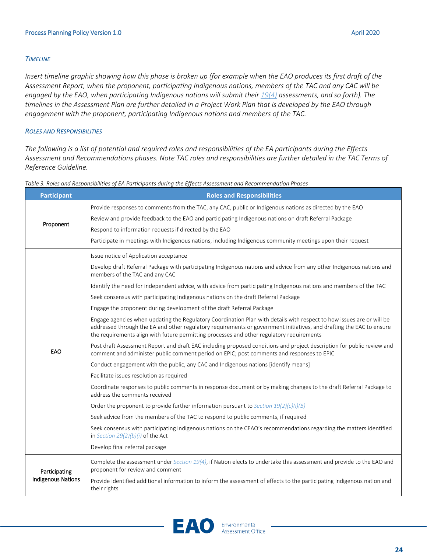#### *TIMELINE*

*Insert timeline graphic showing how this phase is broken up (for example when the EAO produces its first draft of the Assessment Report, when the proponent, participating Indigenous nations, members of the TAC and any CAC will be engaged by the EAO, when participating Indigenous nations will submit their [19\(4\)](http://www.bclaws.ca/civix/document/id/complete/statreg/18051#section19) assessments, and so forth). The timelines in the Assessment Plan are further detailed in a Project Work Plan that is developed by the EAO through engagement with the proponent, participating Indigenous nations and members of the TAC.*

#### *ROLES AND RESPONSIBILITIES*

*The following is a list of potential and required roles and responsibilities of the EA participants during the Effects Assessment and Recommendations phases. Note TAC roles and responsibilities are further detailed in the TAC Terms of Reference Guideline.*

| <b>Participant</b>                         | <b>Roles and Responsibilities</b>                                                                                                                                                                                                                                                                                                          |
|--------------------------------------------|--------------------------------------------------------------------------------------------------------------------------------------------------------------------------------------------------------------------------------------------------------------------------------------------------------------------------------------------|
|                                            | Provide responses to comments from the TAC, any CAC, public or Indigenous nations as directed by the EAO                                                                                                                                                                                                                                   |
|                                            | Review and provide feedback to the EAO and participating Indigenous nations on draft Referral Package                                                                                                                                                                                                                                      |
| Proponent                                  | Respond to information requests if directed by the EAO                                                                                                                                                                                                                                                                                     |
|                                            | Participate in meetings with Indigenous nations, including Indigenous community meetings upon their request                                                                                                                                                                                                                                |
|                                            | Issue notice of Application acceptance                                                                                                                                                                                                                                                                                                     |
|                                            | Develop draft Referral Package with participating Indigenous nations and advice from any other Indigenous nations and<br>members of the TAC and any CAC                                                                                                                                                                                    |
|                                            | Identify the need for independent advice, with advice from participating Indigenous nations and members of the TAC                                                                                                                                                                                                                         |
|                                            | Seek consensus with participating Indigenous nations on the draft Referral Package                                                                                                                                                                                                                                                         |
|                                            | Engage the proponent during development of the draft Referral Package                                                                                                                                                                                                                                                                      |
|                                            | Engage agencies when updating the Regulatory Coordination Plan with details with respect to how issues are or will be<br>addressed through the EA and other regulatory requirements or government initiatives, and drafting the EAC to ensure<br>the requirements align with future permitting processes and other regulatory requirements |
| EAO                                        | Post draft Assessment Report and draft EAC including proposed conditions and project description for public review and<br>comment and administer public comment period on EPIC; post comments and responses to EPIC                                                                                                                        |
|                                            | Conduct engagement with the public, any CAC and Indigenous nations [identify means]                                                                                                                                                                                                                                                        |
|                                            | Facilitate issues resolution as required                                                                                                                                                                                                                                                                                                   |
|                                            | Coordinate responses to public comments in response document or by making changes to the draft Referral Package to<br>address the comments received                                                                                                                                                                                        |
|                                            | Order the proponent to provide further information pursuant to Section $19(2)(c)(i)(B)$                                                                                                                                                                                                                                                    |
|                                            | Seek advice from the members of the TAC to respond to public comments, if required                                                                                                                                                                                                                                                         |
|                                            | Seek consensus with participating Indigenous nations on the CEAO's recommendations regarding the matters identified<br>in Section $29(2)(b)(i)$ of the Act                                                                                                                                                                                 |
|                                            | Develop final referral package                                                                                                                                                                                                                                                                                                             |
|                                            | Complete the assessment under Section 19(4), if Nation elects to undertake this assessment and provide to the EAO and                                                                                                                                                                                                                      |
| Participating<br><b>Indigenous Nations</b> | proponent for review and comment<br>Provide identified additional information to inform the assessment of effects to the participating Indigenous nation and                                                                                                                                                                               |
|                                            | their rights                                                                                                                                                                                                                                                                                                                               |

*Table 3. Roles and Responsibilities of EA Participants during the Effects Assessment and Recommendation Phases*

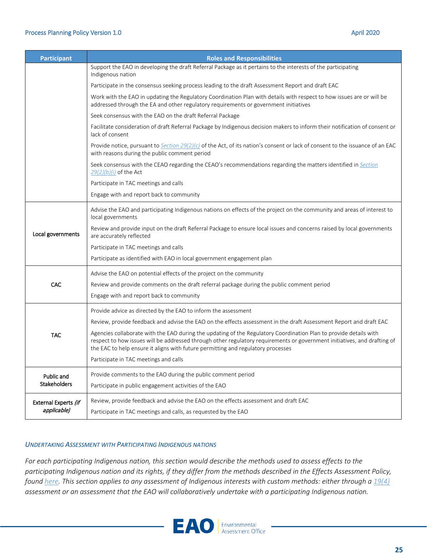#### Process Planning Policy Version 1.0 April 2020 **April 2020**

| <b>Participant</b>   | <b>Roles and Responsibilities</b>                                                                                                                                                                                                                                                                                                 |
|----------------------|-----------------------------------------------------------------------------------------------------------------------------------------------------------------------------------------------------------------------------------------------------------------------------------------------------------------------------------|
|                      | Support the EAO in developing the draft Referral Package as it pertains to the interests of the participating<br>Indigenous nation                                                                                                                                                                                                |
|                      | Participate in the consensus seeking process leading to the draft Assessment Report and draft EAC                                                                                                                                                                                                                                 |
|                      | Work with the EAO in updating the Regulatory Coordination Plan with details with respect to how issues are or will be<br>addressed through the EA and other regulatory requirements or government initiatives                                                                                                                     |
|                      | Seek consensus with the EAO on the draft Referral Package                                                                                                                                                                                                                                                                         |
|                      | Facilitate consideration of draft Referral Package by Indigenous decision makers to inform their notification of consent or<br>lack of consent                                                                                                                                                                                    |
|                      | Provide notice, pursuant to Section 29(2)(c) of the Act, of its nation's consent or lack of consent to the issuance of an EAC<br>with reasons during the public comment period                                                                                                                                                    |
|                      | Seek consensus with the CEAO regarding the CEAO's recommendations regarding the matters identified in Section<br>$29(2)(b)(i)$ of the Act                                                                                                                                                                                         |
|                      | Participate in TAC meetings and calls                                                                                                                                                                                                                                                                                             |
|                      | Engage with and report back to community                                                                                                                                                                                                                                                                                          |
|                      | Advise the EAO and participating Indigenous nations on effects of the project on the community and areas of interest to<br>local governments                                                                                                                                                                                      |
| Local governments    | Review and provide input on the draft Referral Package to ensure local issues and concerns raised by local governments<br>are accurately reflected                                                                                                                                                                                |
|                      | Participate in TAC meetings and calls                                                                                                                                                                                                                                                                                             |
|                      | Participate as identified with EAO in local government engagement plan                                                                                                                                                                                                                                                            |
|                      | Advise the EAO on potential effects of the project on the community                                                                                                                                                                                                                                                               |
| <b>CAC</b>           | Review and provide comments on the draft referral package during the public comment period                                                                                                                                                                                                                                        |
|                      | Engage with and report back to community                                                                                                                                                                                                                                                                                          |
|                      | Provide advice as directed by the EAO to inform the assessment                                                                                                                                                                                                                                                                    |
|                      | Review, provide feedback and advise the EAO on the effects assessment in the draft Assessment Report and draft EAC                                                                                                                                                                                                                |
| <b>TAC</b>           | Agencies collaborate with the EAO during the updating of the Regulatory Coordination Plan to provide details with<br>respect to how issues will be addressed through other regulatory requirements or government initiatives, and drafting of<br>the EAC to help ensure it aligns with future permitting and regulatory processes |
|                      | Participate in TAC meetings and calls                                                                                                                                                                                                                                                                                             |
| Public and           | Provide comments to the EAO during the public comment period                                                                                                                                                                                                                                                                      |
| <b>Stakeholders</b>  | Participate in public engagement activities of the EAO                                                                                                                                                                                                                                                                            |
| External Experts (if | Review, provide feedback and advise the EAO on the effects assessment and draft EAC                                                                                                                                                                                                                                               |
| applicable)          | Participate in TAC meetings and calls, as requested by the EAO                                                                                                                                                                                                                                                                    |

#### *UNDERTAKING ASSESSMENT WITH PARTICIPATING INDIGENOUS NATIONS*

*For each participating Indigenous nation, this section would describe the methods used to assess effects to the participating Indigenous nation and its rights, if they differ from the methods described in the Effects Assessment Policy, found [here.](https://www2.gov.bc.ca/gov/content/environment/natural-resource-stewardship/environmental-assessments/guidance-documents)* This section applies to any assessment of Indigenous interests with custom methods: either through [a 19\(4\)](http://www.bclaws.ca/civix/document/id/complete/statreg/18051#section19) *assessment or an assessment that the EAO will collaboratively undertake with a participating Indigenous nation.*

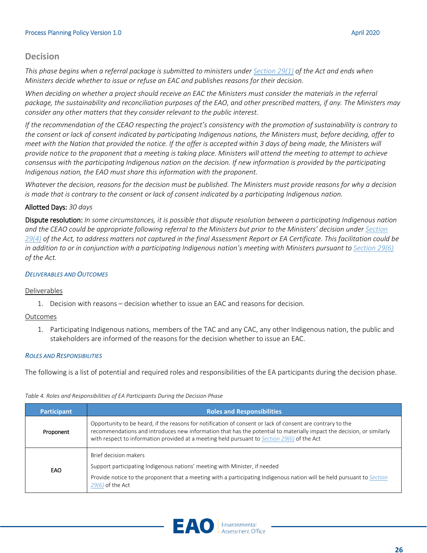### <span id="page-25-0"></span>**Decision**

*This phase begins when a referral package is submitted to ministers unde[r Section 29\(1\)](http://www.bclaws.ca/civix/document/id/complete/statreg/18051#section29) of the Act and ends when Ministers decide whether to issue or refuse an EAC and publishes reasons for their decision.* 

*When deciding on whether a project should receive an EAC the Ministers must consider the materials in the referral package, the sustainability and reconciliation purposes of the EAO, and other prescribed matters, if any. The Ministers may consider any other matters that they consider relevant to the public interest.*

*If the recommendation of the CEAO respecting the project's consistency with the promotion of sustainability is contrary to the consent or lack of consent indicated by participating Indigenous nations, the Ministers must, before deciding, offer to meet with the Nation that provided the notice. If the offer is accepted within 3 days of being made, the Ministers will provide notice to the proponent that a meeting is taking place. Ministers will attend the meeting to attempt to achieve consensus with the participating Indigenous nation on the decision. If new information is provided by the participating Indigenous nation, the EAO must share this information with the proponent.*

*Whatever the decision, reasons for the decision must be published. The Ministers must provide reasons for why a decision is made that is contrary to the consent or lack of consent indicated by a participating Indigenous nation.*

#### Allotted Days: *30 days*

Dispute resolution: *In some circumstances, it is possible that dispute resolution between a participating Indigenous nation*  and the CEAO could be appropriate following referral to the Ministers but prior to the Ministers' decision under *Section [29\(4\)](http://www.bclaws.ca/civix/document/id/complete/statreg/18051#section29) of the Act, to address matters not captured in the final Assessment Report or EA Certificate. This facilitation could be in addition to or in conjunction with a participating Indigenous nation's meeting with Ministers pursuant to [Section](http://www.bclaws.ca/civix/document/id/complete/statreg/18051#section29) 29(6) of the Act.*

#### *DELIVERABLES AND OUTCOMES*

#### Deliverables

1. Decision with reasons – decision whether to issue an EAC and reasons for decision.

#### Outcomes

1. Participating Indigenous nations, members of the TAC and any CAC, any other Indigenous nation, the public and stakeholders are informed of the reasons for the decision whether to issue an EAC.

#### *ROLES AND RESPONSIBILITIES*

The following is a list of potential and required roles and responsibilities of the EA participants during the decision phase.

*Table 4. Roles and Responsibilities of EA Participants During the Decision Phase*

| <b>Participant</b> | <b>Roles and Responsibilities</b>                                                                                                                                                                                                                                                                                                  |
|--------------------|------------------------------------------------------------------------------------------------------------------------------------------------------------------------------------------------------------------------------------------------------------------------------------------------------------------------------------|
| Proponent          | Opportunity to be heard, if the reasons for notification of consent or lack of consent are contrary to the<br>recommendations and introduces new information that has the potential to materially impact the decision, or similarly<br>with respect to information provided at a meeting held pursuant to Section 29(6) of the Act |
| EAO                | Brief decision makers<br>Support participating Indigenous nations' meeting with Minister, if needed<br>Provide notice to the proponent that a meeting with a participating Indigenous nation will be held pursuant to Section<br>$29(6)$ of the Act                                                                                |

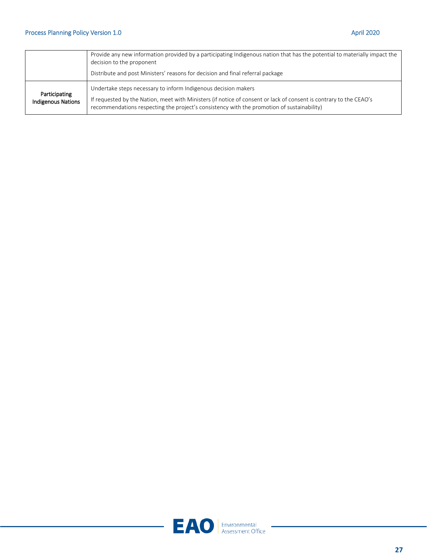|                                            | Provide any new information provided by a participating Indigenous nation that has the potential to materially impact the<br>decision to the proponent<br>Distribute and post Ministers' reasons for decision and final referral package                                           |
|--------------------------------------------|------------------------------------------------------------------------------------------------------------------------------------------------------------------------------------------------------------------------------------------------------------------------------------|
| Participating<br><b>Indigenous Nations</b> | Undertake steps necessary to inform Indigenous decision makers<br>If requested by the Nation, meet with Ministers (if notice of consent or lack of consent is contrary to the CEAO's<br>recommendations respecting the project's consistency with the promotion of sustainability) |

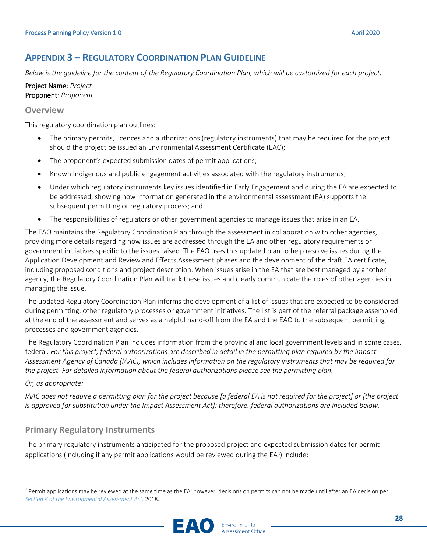# <span id="page-27-0"></span>**APPENDIX 3 – REGULATORY COORDINATION PLAN GUIDELINE**

*Below is the guideline for the content of the Regulatory Coordination Plan, which will be customized for each project.* 

#### Project Name: *Project* Proponent: *Proponent*

#### **Overview**

This regulatory coordination plan outlines:

- The primary permits, licences and authorizations (regulatory instruments) that may be required for the project should the project be issued an Environmental Assessment Certificate (EAC);
- The proponent's expected submission dates of permit applications;
- Known Indigenous and public engagement activities associated with the regulatory instruments;
- Under which regulatory instruments key issues identified in Early Engagement and during the EA are expected to be addressed, showing how information generated in the environmental assessment (EA) supports the subsequent permitting or regulatory process; and
- The responsibilities of regulators or other government agencies to manage issues that arise in an EA.

The EAO maintains the Regulatory Coordination Plan through the assessment in collaboration with other agencies, providing more details regarding how issues are addressed through the EA and other regulatory requirements or government initiatives specific to the issues raised. The EAO uses this updated plan to help resolve issues during the Application Development and Review and Effects Assessment phases and the development of the draft EA certificate, including proposed conditions and project description. When issues arise in the EA that are best managed by another agency, the Regulatory Coordination Plan will track these issues and clearly communicate the roles of other agencies in managing the issue.

The updated Regulatory Coordination Plan informs the development of a list of issues that are expected to be considered during permitting, other regulatory processes or government initiatives. The list is part of the referral package assembled at the end of the assessment and serves as a helpful hand-off from the EA and the EAO to the subsequent permitting processes and government agencies.

The Regulatory Coordination Plan includes information from the provincial and local government levels and in some cases, federal. *For this project, federal authorizations are described in detail in the permitting plan required by the Impact Assessment Agency of Canada (IAAC), which includes information on the regulatory instruments that may be required for the project. For detailed information about the federal authorizations please see the permitting plan.* 

#### *Or, as appropriate:*

 $\overline{a}$ 

*IAAC does not require a permitting plan for the project because [a federal EA is not required for the project] or [the project is approved for substitution under the Impact Assessment Act]; therefore, federal authorizations are included below.*

## **Primary Regulatory Instruments**

The primary regulatory instruments anticipated for the proposed project and expected submission dates for permit applications (including if any permit applications would be reviewed during the  $EA^3$ ) include:

<span id="page-27-1"></span><sup>&</sup>lt;sup>3</sup> Permit applications may be reviewed at the same time as the EA; however, decisions on permits can not be made until after an EA decision per *[Section 8 of the Environmental Assessment Act,](http://www.bclaws.ca/civix/document/id/complete/statreg/18051#section8)* 2018.

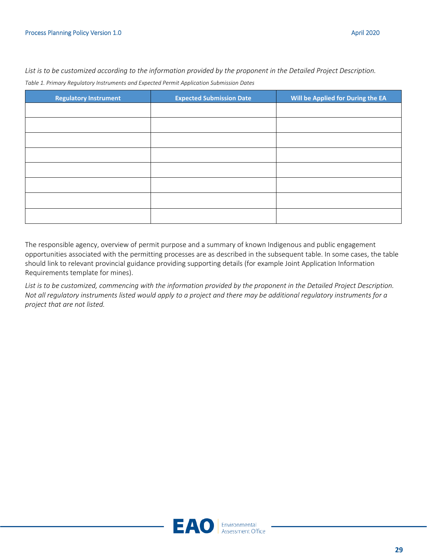*List is to be customized according to the information provided by the proponent in the Detailed Project Description. Table 1. Primary Regulatory Instruments and Expected Permit Application Submission Dates*

| <b>Regulatory Instrument</b> | <b>Expected Submission Date</b> | Will be Applied for During the EA |
|------------------------------|---------------------------------|-----------------------------------|
|                              |                                 |                                   |
|                              |                                 |                                   |
|                              |                                 |                                   |
|                              |                                 |                                   |
|                              |                                 |                                   |
|                              |                                 |                                   |
|                              |                                 |                                   |
|                              |                                 |                                   |
|                              |                                 |                                   |

The responsible agency, overview of permit purpose and a summary of known Indigenous and public engagement opportunities associated with the permitting processes are as described in the subsequent table. In some cases, the table should link to relevant provincial guidance providing supporting details (for example Joint Application Information Requirements template for mines).

*List is to be customized, commencing with the information provided by the proponent in the Detailed Project Description. Not all regulatory instruments listed would apply to a project and there may be additional regulatory instruments for a project that are not listed.* 

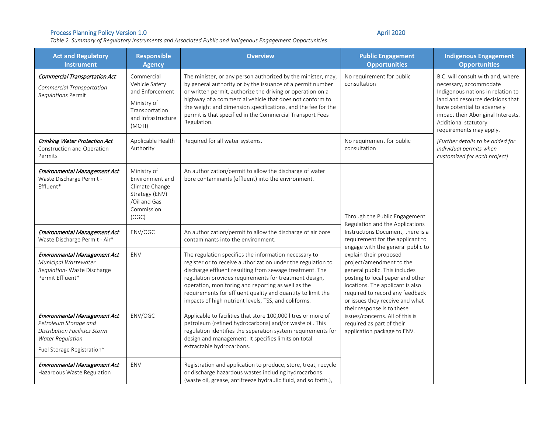#### Process Planning Policy Version 1.0 April 2020 April 2020 April 2020 April 2020 April 2020 April 2020 April 20

*Table 2. Summary of Regulatory Instruments and Associated Public and Indigenous Engagement Opportunities*

| <b>Act and Regulatory</b><br><b>Instrument</b>                                                                                                  | <b>Responsible</b><br><b>Agency</b>                                                                              | <b>Overview</b>                                                                                                                                                                                                                                                                                                                                                                                                         | <b>Public Engagement</b><br><b>Opportunities</b>                                                                                                                                                                                                                                                                                                                                                                                                                             | <b>Indigenous Engagement</b><br><b>Opportunities</b>                                                                                                                                                                                                         |
|-------------------------------------------------------------------------------------------------------------------------------------------------|------------------------------------------------------------------------------------------------------------------|-------------------------------------------------------------------------------------------------------------------------------------------------------------------------------------------------------------------------------------------------------------------------------------------------------------------------------------------------------------------------------------------------------------------------|------------------------------------------------------------------------------------------------------------------------------------------------------------------------------------------------------------------------------------------------------------------------------------------------------------------------------------------------------------------------------------------------------------------------------------------------------------------------------|--------------------------------------------------------------------------------------------------------------------------------------------------------------------------------------------------------------------------------------------------------------|
| <b>Commercial Transportation Act</b><br><b>Commercial Transportation</b><br>Regulations Permit                                                  | Commercial<br>Vehicle Safety<br>and Enforcement<br>Ministry of<br>Transportation<br>and Infrastructure<br>(MOTI) | The minister, or any person authorized by the minister, may,<br>by general authority or by the issuance of a permit number<br>or written permit, authorize the driving or operation on a<br>highway of a commercial vehicle that does not conform to<br>the weight and dimension specifications, and the fee for the<br>permit is that specified in the Commercial Transport Fees<br>Regulation.                        | No requirement for public<br>consultation                                                                                                                                                                                                                                                                                                                                                                                                                                    | B.C. will consult with and, where<br>necessary, accommodate<br>Indigenous nations in relation to<br>land and resource decisions that<br>have potential to adversely<br>impact their Aboriginal Interests.<br>Additional statutory<br>requirements may apply. |
| Drinking Water Protection Act<br>Construction and Operation<br>Permits                                                                          | Applicable Health<br>Authority                                                                                   | Required for all water systems.                                                                                                                                                                                                                                                                                                                                                                                         | No requirement for public<br>consultation                                                                                                                                                                                                                                                                                                                                                                                                                                    | [Further details to be added for<br>individual permits when<br>customized for each project]                                                                                                                                                                  |
| Environmental Management Act<br>Waste Discharge Permit -<br>Effluent*                                                                           | Ministry of<br>Environment and<br>Climate Change<br>Strategy (ENV)<br>/Oil and Gas<br>Commission<br>(OGC)        | An authorization/permit to allow the discharge of water<br>bore contaminants (effluent) into the environment.                                                                                                                                                                                                                                                                                                           | Through the Public Engagement<br>Regulation and the Applications                                                                                                                                                                                                                                                                                                                                                                                                             |                                                                                                                                                                                                                                                              |
| Environmental Management Act<br>Waste Discharge Permit - Air*                                                                                   | ENV/OGC                                                                                                          | An authorization/permit to allow the discharge of air bore<br>contaminants into the environment.                                                                                                                                                                                                                                                                                                                        | Instructions Document, there is a<br>requirement for the applicant to<br>engage with the general public to<br>explain their proposed<br>project/amendment to the<br>general public. This includes<br>posting to local paper and other<br>locations. The applicant is also<br>required to record any feedback<br>or issues they receive and what<br>their response is to these<br>issues/concerns. All of this is<br>required as part of their<br>application package to ENV. |                                                                                                                                                                                                                                                              |
| Environmental Management Act<br>Municipal Wastewater<br>Regulation- Waste Discharge<br>Permit Effluent*                                         | ENV                                                                                                              | The regulation specifies the information necessary to<br>register or to receive authorization under the regulation to<br>discharge effluent resulting from sewage treatment. The<br>regulation provides requirements for treatment design,<br>operation, monitoring and reporting as well as the<br>requirements for effluent quality and quantity to limit the<br>impacts of high nutrient levels, TSS, and coliforms. |                                                                                                                                                                                                                                                                                                                                                                                                                                                                              |                                                                                                                                                                                                                                                              |
| Environmental Management Act<br>Petroleum Storage and<br>Distribution Facilities Storm<br><b>Water Regulation</b><br>Fuel Storage Registration* | ENV/OGC                                                                                                          | Applicable to facilities that store 100,000 litres or more of<br>petroleum (refined hydrocarbons) and/or waste oil. This<br>regulation identifies the separation system requirements for<br>design and management. It specifies limits on total<br>extractable hydrocarbons.                                                                                                                                            |                                                                                                                                                                                                                                                                                                                                                                                                                                                                              |                                                                                                                                                                                                                                                              |
| Environmental Management Act<br>Hazardous Waste Regulation                                                                                      | ENV                                                                                                              | Registration and application to produce, store, treat, recycle<br>or discharge hazardous wastes including hydrocarbons<br>(waste oil, grease, antifreeze hydraulic fluid, and so forth.),                                                                                                                                                                                                                               |                                                                                                                                                                                                                                                                                                                                                                                                                                                                              |                                                                                                                                                                                                                                                              |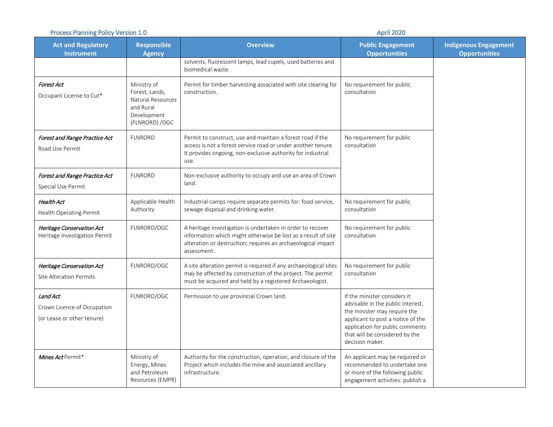|                                                                       | <b>April 2020</b><br><b>Process Planning Policy Version 1.0</b>                                   |                                                                                                                                                                                                            |                                                                                                                                                                                                                                |                                                      |
|-----------------------------------------------------------------------|---------------------------------------------------------------------------------------------------|------------------------------------------------------------------------------------------------------------------------------------------------------------------------------------------------------------|--------------------------------------------------------------------------------------------------------------------------------------------------------------------------------------------------------------------------------|------------------------------------------------------|
| <b>Act and Regulatory</b><br><b>Instrument</b>                        | <b>Responsible</b><br><b>Agency</b>                                                               | <b>Overview</b>                                                                                                                                                                                            | <b>Public Engagement</b><br><b>Opportunities</b>                                                                                                                                                                               | <b>Indigenous Engagement</b><br><b>Opportunities</b> |
|                                                                       |                                                                                                   | solvents, fluorescent lamps, lead cupels, used batteries and<br>biomedical waste.                                                                                                                          |                                                                                                                                                                                                                                |                                                      |
| <b>Forest Act</b><br>Occupant License to Cut*                         | Ministry of<br>Forest, Lands,<br>Natural Resources<br>and Rural<br>Development<br>(FLNRORD) / OGC | Permit for timber harvesting associated with site clearing for<br>construction.                                                                                                                            | No requirement for public<br>consultation                                                                                                                                                                                      |                                                      |
| Forest and Range Practice Act<br>Road Use Permit                      | <b>FLNRORD</b>                                                                                    | Permit to construct, use and maintain a forest road if the<br>access is not a forest service road or under another tenure.<br>It provides ongoing, non-exclusive authority for industrial<br>use.          | No requirement for public<br>consultation                                                                                                                                                                                      |                                                      |
| Forest and Range Practice Act<br>Special Use Permit                   | <b>FLNRORD</b>                                                                                    | Non-exclusive authority to occupy and use an area of Crown<br>land.                                                                                                                                        |                                                                                                                                                                                                                                |                                                      |
| <b>Health Act</b><br>Health Operating Permit                          | Applicable Health<br>Authority                                                                    | Industrial camps require separate permits for: food service,<br>sewage disposal and drinking water.                                                                                                        | No requirement for public<br>consultation                                                                                                                                                                                      |                                                      |
| Heritage Conservation Act<br>Heritage Investigation Permit            | FLNRORD/OGC                                                                                       | A heritage investigation is undertaken in order to recover<br>information which might otherwise be lost as a result of site<br>alteration or destruction; requires an archaeological impact<br>assessment. | No requirement for public<br>consultation                                                                                                                                                                                      |                                                      |
| Heritage Conservation Act<br><b>Site Alteration Permits</b>           | FLNRORD/OGC                                                                                       | A site alteration permit is required if any archaeological sites<br>may be affected by construction of the project. The permit<br>must be acquired and held by a registered Archaeologist.                 | No requirement for public<br>consultation                                                                                                                                                                                      |                                                      |
| Land Act<br>Crown Licence of Occupation<br>(or Lease or other tenure) | FLNRORD/OGC                                                                                       | Permission to use provincial Crown land.                                                                                                                                                                   | If the minister considers it<br>advisable in the public interest,<br>the minister may require the<br>applicant to post a notice of the<br>application for public comments<br>that will be considered by the<br>decision maker. |                                                      |
| Mines Act Permit*                                                     | Ministry of<br>Energy, Mines<br>and Petroleum<br>Resources (EMPR)                                 | Authority for the construction, operation, and closure of the<br>Project which includes the mine and associated ancillary<br>infrastructure.                                                               | An applicant may be required or<br>recommended to undertake one<br>or more of the following public<br>engagement activities: publish a                                                                                         |                                                      |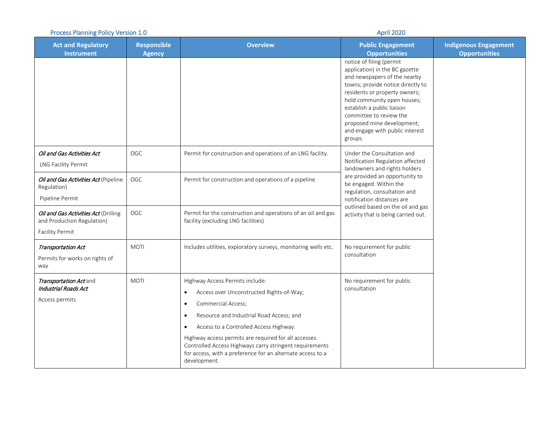#### Process Planning Policy Version 1.0 April 2020 **April 2020**

|  |  | Ar |
|--|--|----|
|  |  |    |
|  |  |    |

| <b>Act and Regulatory</b><br>Instrument                                                      | <b>Responsible</b><br><b>Agency</b> | <b>Overview</b>                                                                                                                                                                                                                                                                                                                                                                                                                               | <b>Public Engagement</b><br><b>Opportunities</b>                                                                                                                                                                                                                                                                                     | <b>Indigenous Engagement</b><br><b>Opportunities</b> |
|----------------------------------------------------------------------------------------------|-------------------------------------|-----------------------------------------------------------------------------------------------------------------------------------------------------------------------------------------------------------------------------------------------------------------------------------------------------------------------------------------------------------------------------------------------------------------------------------------------|--------------------------------------------------------------------------------------------------------------------------------------------------------------------------------------------------------------------------------------------------------------------------------------------------------------------------------------|------------------------------------------------------|
|                                                                                              |                                     |                                                                                                                                                                                                                                                                                                                                                                                                                                               | notice of filing (permit<br>application) in the BC gazette<br>and newspapers of the nearby<br>towns; provide notice directly to<br>residents or property owners;<br>hold community open houses;<br>establish a public liaison<br>committee to review the<br>proposed mine development;<br>and engage with public interest<br>groups. |                                                      |
| Oil and Gas Activities Act<br>LNG Facility Permit                                            | OGC                                 | Permit for construction and operations of an LNG facility.                                                                                                                                                                                                                                                                                                                                                                                    | Under the Consultation and<br>Notification Regulation affected<br>landowners and rights holders                                                                                                                                                                                                                                      |                                                      |
| Oil and Gas Activities Act (Pipeline<br>Regulation)<br>Pipeline Permit                       | OGC                                 | Permit for construction and operations of a pipeline                                                                                                                                                                                                                                                                                                                                                                                          | are provided an opportunity to<br>be engaged. Within the<br>regulation, consultation and<br>notification distances are                                                                                                                                                                                                               |                                                      |
| Oil and Gas Activities Act (Drilling<br>and Production Regulation)<br><b>Facility Permit</b> | <b>OGC</b>                          | Permit for the construction and operations of an oil and gas<br>facility (excluding LNG facilities)                                                                                                                                                                                                                                                                                                                                           | outlined based on the oil and gas<br>activity that is being carried out.                                                                                                                                                                                                                                                             |                                                      |
| Transportation Act<br>Permits for works on rights of<br>way                                  | <b>MOTI</b>                         | Includes utilities, exploratory surveys, monitoring wells etc.                                                                                                                                                                                                                                                                                                                                                                                | No requirement for public<br>consultation                                                                                                                                                                                                                                                                                            |                                                      |
| Transportation Act and<br>Industrial Roads Act<br>Access permits                             | <b>MOTI</b>                         | Highway Access Permits include:<br>Access over Unconstructed Rights-of-Way;<br>$\bullet$<br>Commercial Access;<br>$\bullet$<br>Resource and Industrial Road Access; and<br>$\bullet$<br>Access to a Controlled Access Highway.<br>$\bullet$<br>Highway access permits are required for all accesses.<br>Controlled Access Highways carry stringent requirements<br>for access, with a preference for an alternate access to a<br>development. | No requirement for public<br>consultation                                                                                                                                                                                                                                                                                            |                                                      |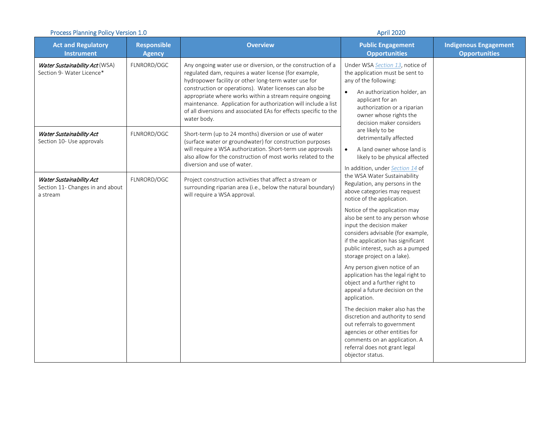| <b>Process Planning Policy Version 1.0</b>                               |                                     |                                                                                                                                                                                                                                                                                                                                                                                                                                                          | <b>April 2020</b>                                                                                                                                                                                                                                |                                                      |
|--------------------------------------------------------------------------|-------------------------------------|----------------------------------------------------------------------------------------------------------------------------------------------------------------------------------------------------------------------------------------------------------------------------------------------------------------------------------------------------------------------------------------------------------------------------------------------------------|--------------------------------------------------------------------------------------------------------------------------------------------------------------------------------------------------------------------------------------------------|------------------------------------------------------|
| <b>Act and Regulatory</b><br><b>Instrument</b>                           | <b>Responsible</b><br><b>Agency</b> | <b>Overview</b>                                                                                                                                                                                                                                                                                                                                                                                                                                          | <b>Public Engagement</b><br><b>Opportunities</b>                                                                                                                                                                                                 | <b>Indigenous Engagement</b><br><b>Opportunities</b> |
| Water Sustainability Act (WSA)<br>Section 9- Water Licence*              | FLNRORD/OGC                         | Any ongoing water use or diversion, or the construction of a<br>regulated dam, requires a water license (for example,<br>hydropower facility or other long-term water use for<br>construction or operations). Water licenses can also be<br>appropriate where works within a stream require ongoing<br>maintenance. Application for authorization will include a list<br>of all diversions and associated EAs for effects specific to the<br>water body. | Under WSA Section 13, notice of<br>the application must be sent to<br>any of the following:<br>An authorization holder, an<br>$\bullet$<br>applicant for an<br>authorization or a riparian<br>owner whose rights the<br>decision maker considers |                                                      |
| Water Sustainability Act<br>Section 10- Use approvals                    | FLNRORD/OGC                         | Short-term (up to 24 months) diversion or use of water<br>(surface water or groundwater) for construction purposes<br>will require a WSA authorization. Short-term use approvals<br>also allow for the construction of most works related to the<br>diversion and use of water.                                                                                                                                                                          | are likely to be<br>detrimentally affected<br>A land owner whose land is<br>$\bullet$<br>likely to be physical affected<br>In addition, under <b>Section 14</b> of                                                                               |                                                      |
| Water Sustainability Act<br>Section 11- Changes in and about<br>a stream | FLNRORD/OGC                         | Project construction activities that affect a stream or<br>surrounding riparian area (i.e., below the natural boundary)<br>will require a WSA approval.                                                                                                                                                                                                                                                                                                  | the WSA Water Sustainability<br>Regulation, any persons in the<br>above categories may request<br>notice of the application.                                                                                                                     |                                                      |
|                                                                          |                                     |                                                                                                                                                                                                                                                                                                                                                                                                                                                          | Notice of the application may<br>also be sent to any person whose<br>input the decision maker<br>considers advisable (for example,<br>if the application has significant<br>public interest, such as a pumped<br>storage project on a lake).     |                                                      |
|                                                                          |                                     |                                                                                                                                                                                                                                                                                                                                                                                                                                                          | Any person given notice of an<br>application has the legal right to<br>object and a further right to<br>appeal a future decision on the<br>application.                                                                                          |                                                      |
|                                                                          |                                     |                                                                                                                                                                                                                                                                                                                                                                                                                                                          | The decision maker also has the<br>discretion and authority to send<br>out referrals to government<br>agencies or other entities for<br>comments on an application. A<br>referral does not grant legal<br>objector status.                       |                                                      |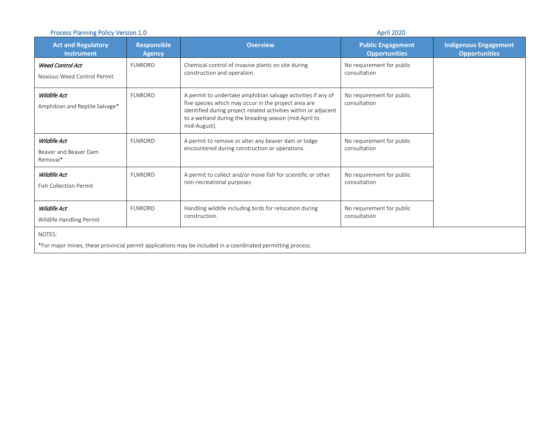| <b>Process Planning Policy Version 1.0</b>               |                                     |                                                                                                                                                                                                                                                                  | <b>April 2020</b>                                |                                                      |
|----------------------------------------------------------|-------------------------------------|------------------------------------------------------------------------------------------------------------------------------------------------------------------------------------------------------------------------------------------------------------------|--------------------------------------------------|------------------------------------------------------|
| <b>Act and Regulatory</b><br><b>Instrument</b>           | <b>Responsible</b><br><b>Agency</b> | <b>Overview</b>                                                                                                                                                                                                                                                  | <b>Public Engagement</b><br><b>Opportunities</b> | <b>Indigenous Engagement</b><br><b>Opportunities</b> |
| <b>Weed Control Act</b><br>Noxious Weed Control Permit   | <b>FLNRORD</b>                      | Chemical control of invasive plants on site during<br>construction and operation.                                                                                                                                                                                | No requirement for public<br>consultation        |                                                      |
| <b>Wildlife Act</b><br>Amphibian and Reptile Salvage*    | <b>FLNRORD</b>                      | A permit to undertake amphibian salvage activities if any of<br>five species which may occur in the project area are<br>identified during project-related activities within or adjacent<br>to a wetland during the breading season (mid-April to<br>mid-August). | No requirement for public<br>consultation        |                                                      |
| <b>Wildlife Act</b><br>Beaver and Beaver Dam<br>Removal* | <b>FLNRORD</b>                      | A permit to remove or alter any beaver dam or lodge<br>encountered during construction or operations.                                                                                                                                                            | No requirement for public<br>consultation        |                                                      |
| <b>Wildlife Act</b><br><b>Fish Collection Permit</b>     | <b>FLNRORD</b>                      | A permit to collect and/or move fish for scientific or other<br>non-recreational purposes                                                                                                                                                                        | No requirement for public<br>consultation        |                                                      |
| <b>Wildlife Act</b><br>Wildlife Handling Permit          | <b>FLNRORD</b>                      | Handling wildlife including birds for relocation during<br>construction.                                                                                                                                                                                         | No requirement for public<br>consultation        |                                                      |
| NOTES:                                                   |                                     |                                                                                                                                                                                                                                                                  |                                                  |                                                      |

\*For major mines, these provincial permit applications may be included in a coordinated permitting process.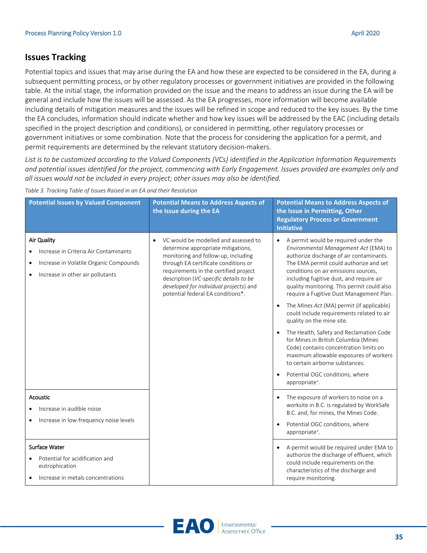# **Issues Tracking**

Potential topics and issues that may arise during the EA and how these are expected to be considered in the EA, during a subsequent permitting process, or by other regulatory processes or government initiatives are provided in the following table. At the initial stage, the information provided on the issue and the means to address an issue during the EA will be general and include how the issues will be assessed. As the EA progresses, more information will become available including details of mitigation measures and the issues will be refined in scope and reduced to the key issues. By the time the EA concludes, information should indicate whether and how key issues will be addressed by the EAC (including details specified in the project description and conditions), or considered in permitting, other regulatory processes or government initiatives or some combination. Note that the process for considering the application for a permit, and permit requirements are determined by the relevant statutory decision-makers.

*List is to be customized according to the Valued Components (VCs) identified in the Application Information Requirements and potential issues identified for the project, commencing with Early Engagement. Issues provided are examples only and all issues would not be included in every project; other issues may also be identified.*

*Table 3. Tracking Table of Issues Raised in an EA and their Resolution*

| <b>Potential Issues by Valued Component</b>                                                                                                                                                | <b>Potential Means to Address Aspects of</b><br>the Issue during the EA                                                                                                                                                                                                                                                                  | <b>Potential Means to Address Aspects of</b><br>the Issue in Permitting, Other<br><b>Regulatory Process or Government</b><br><b>Initiative</b>                                                                                                                                                                                                                                                                                                                                                                                                                                                                                                                                                                                                                   |
|--------------------------------------------------------------------------------------------------------------------------------------------------------------------------------------------|------------------------------------------------------------------------------------------------------------------------------------------------------------------------------------------------------------------------------------------------------------------------------------------------------------------------------------------|------------------------------------------------------------------------------------------------------------------------------------------------------------------------------------------------------------------------------------------------------------------------------------------------------------------------------------------------------------------------------------------------------------------------------------------------------------------------------------------------------------------------------------------------------------------------------------------------------------------------------------------------------------------------------------------------------------------------------------------------------------------|
| Air Quality<br>Increase in Criteria Air Contaminants<br>Increase in Volatile Organic Compounds<br>٠<br>Increase in other air pollutants<br>٠                                               | VC would be modelled and assessed to<br>$\bullet$<br>determine appropriate mitigations,<br>monitoring and follow-up, including<br>through EA certificate conditions or<br>requirements in the certified project<br>description (VC-specific details to be<br>developed for individual projects) and<br>potential federal EA conditions*. | A permit would be required under the<br>$\bullet$<br>Environmental Management Act (EMA) to<br>authorize discharge of air contaminants.<br>The EMA permit could authorize and set<br>conditions on air emissions sources,<br>including fugitive dust, and require air<br>quality monitoring. This permit could also<br>require a Fugitive Dust Management Plan.<br>The Mines Act (MA) permit (if applicable)<br>could include requirements related to air<br>quality on the mine site.<br>The Health, Safety and Reclamation Code<br>for Mines in British Columbia (Mines<br>Code) contains concentration limits on<br>maximum allowable exposures of workers<br>to certain airborne substances.<br>Potential OGC conditions, where<br>appropriate <sup>+</sup> . |
| Acoustic<br>Increase in audible noise<br>Increase in low-frequency noise levels<br>Surface Water<br>Potential for acidification and<br>eutrophication<br>Increase in metals concentrations |                                                                                                                                                                                                                                                                                                                                          | The exposure of workers to noise on a<br>worksite in B.C. is regulated by WorkSafe<br>B.C. and, for mines, the Mines Code.<br>Potential OGC conditions, where<br>appropriate <sup>+</sup> .<br>A permit would be required under EMA to<br>authorize the discharge of effluent, which<br>could include requirements on the<br>characteristics of the discharge and<br>require monitoring.                                                                                                                                                                                                                                                                                                                                                                         |

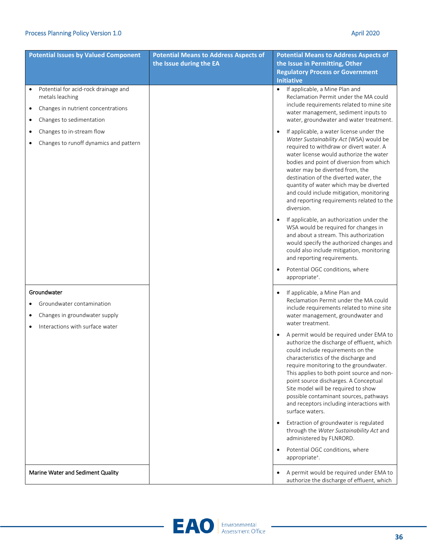| <b>Potential Issues by Valued Component</b>             | <b>Potential Means to Address Aspects of</b> | <b>Potential Means to Address Aspects of</b>                                                                                                                                                                                                                                                                                                                                                                                                         |
|---------------------------------------------------------|----------------------------------------------|------------------------------------------------------------------------------------------------------------------------------------------------------------------------------------------------------------------------------------------------------------------------------------------------------------------------------------------------------------------------------------------------------------------------------------------------------|
|                                                         | the Issue during the EA                      | the Issue in Permitting, Other<br><b>Regulatory Process or Government</b>                                                                                                                                                                                                                                                                                                                                                                            |
|                                                         |                                              | <b>Initiative</b>                                                                                                                                                                                                                                                                                                                                                                                                                                    |
| Potential for acid-rock drainage and<br>metals leaching |                                              | $\bullet$<br>If applicable, a Mine Plan and<br>Reclamation Permit under the MA could                                                                                                                                                                                                                                                                                                                                                                 |
| Changes in nutrient concentrations                      |                                              | include requirements related to mine site<br>water management, sediment inputs to                                                                                                                                                                                                                                                                                                                                                                    |
| Changes to sedimentation                                |                                              | water, groundwater and water treatment.                                                                                                                                                                                                                                                                                                                                                                                                              |
| Changes to in-stream flow                               |                                              | If applicable, a water license under the<br>$\bullet$                                                                                                                                                                                                                                                                                                                                                                                                |
| Changes to runoff dynamics and pattern                  |                                              | Water Sustainability Act (WSA) would be<br>required to withdraw or divert water. A<br>water license would authorize the water<br>bodies and point of diversion from which<br>water may be diverted from, the<br>destination of the diverted water, the<br>quantity of water which may be diverted<br>and could include mitigation, monitoring<br>and reporting requirements related to the<br>diversion.                                             |
|                                                         |                                              | If applicable, an authorization under the<br>WSA would be required for changes in<br>and about a stream. This authorization<br>would specify the authorized changes and<br>could also include mitigation, monitoring<br>and reporting requirements.                                                                                                                                                                                                  |
|                                                         |                                              | Potential OGC conditions, where<br>$\bullet$<br>appropriate <sup>+</sup> .                                                                                                                                                                                                                                                                                                                                                                           |
| Groundwater                                             |                                              | If applicable, a Mine Plan and<br>$\bullet$                                                                                                                                                                                                                                                                                                                                                                                                          |
| Groundwater contamination                               |                                              | Reclamation Permit under the MA could<br>include requirements related to mine site                                                                                                                                                                                                                                                                                                                                                                   |
| Changes in groundwater supply                           |                                              | water management, groundwater and<br>water treatment.                                                                                                                                                                                                                                                                                                                                                                                                |
| Interactions with surface water                         |                                              | A permit would be required under EMA to<br>authorize the discharge of effluent, which<br>could include requirements on the<br>characteristics of the discharge and<br>require monitoring to the groundwater.<br>This applies to both point source and non-<br>point source discharges. A Conceptual<br>Site model will be required to show<br>possible contaminant sources, pathways<br>and receptors including interactions with<br>surface waters. |
|                                                         |                                              | Extraction of groundwater is regulated<br>$\bullet$<br>through the Water Sustainability Act and<br>administered by FLNRORD.                                                                                                                                                                                                                                                                                                                          |
|                                                         |                                              | Potential OGC conditions, where<br>$\bullet$<br>appropriate <sup>+</sup> .                                                                                                                                                                                                                                                                                                                                                                           |
| Marine Water and Sediment Quality                       |                                              | A permit would be required under EMA to<br>authorize the discharge of effluent, which                                                                                                                                                                                                                                                                                                                                                                |

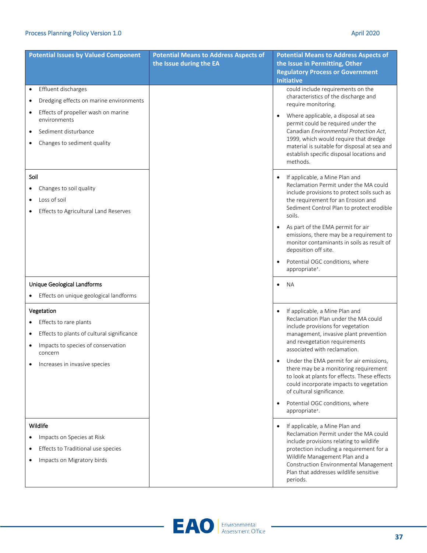| <b>Potential Issues by Valued Component</b>              | <b>Potential Means to Address Aspects of</b> | <b>Potential Means to Address Aspects of</b>                                                                                                                                                                          |
|----------------------------------------------------------|----------------------------------------------|-----------------------------------------------------------------------------------------------------------------------------------------------------------------------------------------------------------------------|
|                                                          | the Issue during the EA                      | the Issue in Permitting, Other<br><b>Regulatory Process or Government</b>                                                                                                                                             |
|                                                          |                                              | <b>Initiative</b>                                                                                                                                                                                                     |
| Effluent discharges                                      |                                              | could include requirements on the                                                                                                                                                                                     |
| Dredging effects on marine environments                  |                                              | characteristics of the discharge and<br>require monitoring.                                                                                                                                                           |
| Effects of propeller wash on marine<br>٠<br>environments |                                              | Where applicable, a disposal at sea<br>$\bullet$<br>permit could be required under the                                                                                                                                |
| Sediment disturbance                                     |                                              | Canadian Environmental Protection Act,                                                                                                                                                                                |
| Changes to sediment quality                              |                                              | 1999, which would require that dredge<br>material is suitable for disposal at sea and<br>establish specific disposal locations and<br>methods.                                                                        |
| Soil                                                     |                                              | If applicable, a Mine Plan and                                                                                                                                                                                        |
| Changes to soil quality                                  |                                              | Reclamation Permit under the MA could<br>include provisions to protect soils such as                                                                                                                                  |
| Loss of soil                                             |                                              | the requirement for an Erosion and                                                                                                                                                                                    |
| Effects to Agricultural Land Reserves                    |                                              | Sediment Control Plan to protect erodible<br>soils.                                                                                                                                                                   |
|                                                          |                                              | As part of the EMA permit for air<br>emissions, there may be a requirement to<br>monitor contaminants in soils as result of<br>deposition off site.                                                                   |
|                                                          |                                              | Potential OGC conditions, where<br>appropriate <sup>+</sup> .                                                                                                                                                         |
| Unique Geological Landforms                              |                                              | <b>NA</b><br>$\bullet$                                                                                                                                                                                                |
| Effects on unique geological landforms                   |                                              |                                                                                                                                                                                                                       |
| Vegetation                                               |                                              | If applicable, a Mine Plan and                                                                                                                                                                                        |
| Effects to rare plants                                   |                                              | Reclamation Plan under the MA could<br>include provisions for vegetation                                                                                                                                              |
| Effects to plants of cultural significance<br>٠          |                                              | management, invasive plant prevention                                                                                                                                                                                 |
| Impacts to species of conservation<br>concern            |                                              | and revegetation requirements<br>associated with reclamation.                                                                                                                                                         |
| Increases in invasive species                            |                                              | Under the EMA permit for air emissions,<br>$\bullet$<br>there may be a monitoring requirement<br>to look at plants for effects. These effects<br>could incorporate impacts to vegetation<br>of cultural significance. |
|                                                          |                                              | Potential OGC conditions, where<br>appropriate <sup>+</sup> .                                                                                                                                                         |
| Wildlife                                                 |                                              | If applicable, a Mine Plan and                                                                                                                                                                                        |
| Impacts on Species at Risk                               |                                              | Reclamation Permit under the MA could                                                                                                                                                                                 |
| Effects to Traditional use species                       |                                              | include provisions relating to wildlife<br>protection including a requirement for a                                                                                                                                   |
| Impacts on Migratory birds                               |                                              | Wildlife Management Plan and a<br>Construction Environmental Management<br>Plan that addresses wildlife sensitive<br>periods.                                                                                         |

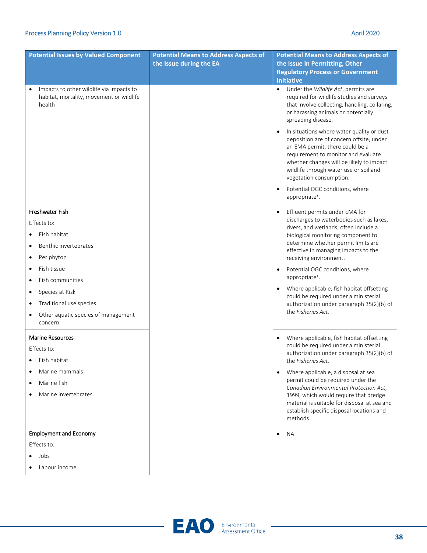| <b>Potential Issues by Valued Component</b>                                                    | <b>Potential Means to Address Aspects of</b><br>the Issue during the EA | <b>Potential Means to Address Aspects of</b><br>the Issue in Permitting, Other                                                                                                                                                                                                   |
|------------------------------------------------------------------------------------------------|-------------------------------------------------------------------------|----------------------------------------------------------------------------------------------------------------------------------------------------------------------------------------------------------------------------------------------------------------------------------|
|                                                                                                |                                                                         | <b>Regulatory Process or Government</b>                                                                                                                                                                                                                                          |
|                                                                                                |                                                                         | <b>Initiative</b>                                                                                                                                                                                                                                                                |
| Impacts to other wildlife via impacts to<br>habitat, mortality, movement or wildlife<br>health |                                                                         | Under the Wildlife Act, permits are<br>$\bullet$<br>required for wildlife studies and surveys<br>that involve collecting, handling, collaring,<br>or harassing animals or potentially<br>spreading disease.                                                                      |
|                                                                                                |                                                                         | In situations where water quality or dust<br>deposition are of concern offsite, under<br>an EMA permit, there could be a<br>requirement to monitor and evaluate<br>whether changes will be likely to impact<br>wildlife through water use or soil and<br>vegetation consumption. |
|                                                                                                |                                                                         | Potential OGC conditions, where<br>appropriate <sup>+</sup> .                                                                                                                                                                                                                    |
| <b>Freshwater Fish</b>                                                                         |                                                                         | Effluent permits under EMA for                                                                                                                                                                                                                                                   |
| Effects to:                                                                                    |                                                                         | discharges to waterbodies such as lakes,<br>rivers, and wetlands, often include a                                                                                                                                                                                                |
| Fish habitat                                                                                   |                                                                         | biological monitoring component to                                                                                                                                                                                                                                               |
| Benthic invertebrates                                                                          |                                                                         | determine whether permit limits are<br>effective in managing impacts to the                                                                                                                                                                                                      |
| Periphyton                                                                                     |                                                                         | receiving environment.                                                                                                                                                                                                                                                           |
| Fish tissue                                                                                    |                                                                         | Potential OGC conditions, where<br>$\bullet$                                                                                                                                                                                                                                     |
| Fish communities                                                                               |                                                                         | appropriate <sup>+</sup> .                                                                                                                                                                                                                                                       |
| Species at Risk                                                                                |                                                                         | Where applicable, fish habitat offsetting<br>could be required under a ministerial                                                                                                                                                                                               |
| Traditional use species                                                                        |                                                                         | authorization under paragraph 35(2)(b) of                                                                                                                                                                                                                                        |
| Other aquatic species of management<br>concern                                                 |                                                                         | the Fisheries Act.                                                                                                                                                                                                                                                               |
| <b>Marine Resources</b>                                                                        |                                                                         | Where applicable, fish habitat offsetting                                                                                                                                                                                                                                        |
| Effects to:                                                                                    |                                                                         | could be required under a ministerial<br>authorization under paragraph 35(2)(b) of                                                                                                                                                                                               |
| Fish habitat                                                                                   |                                                                         | the Fisheries Act.                                                                                                                                                                                                                                                               |
| Marine mammals                                                                                 |                                                                         | Where applicable, a disposal at sea<br>$\bullet$                                                                                                                                                                                                                                 |
| Marine fish                                                                                    |                                                                         | permit could be required under the<br>Canadian Environmental Protection Act,                                                                                                                                                                                                     |
| Marine invertebrates                                                                           |                                                                         | 1999, which would require that dredge<br>material is suitable for disposal at sea and<br>establish specific disposal locations and<br>methods.                                                                                                                                   |
| <b>Employment and Economy</b>                                                                  |                                                                         | NА<br>$\bullet$                                                                                                                                                                                                                                                                  |
| Effects to:                                                                                    |                                                                         |                                                                                                                                                                                                                                                                                  |
| Jobs                                                                                           |                                                                         |                                                                                                                                                                                                                                                                                  |
| Labour income                                                                                  |                                                                         |                                                                                                                                                                                                                                                                                  |

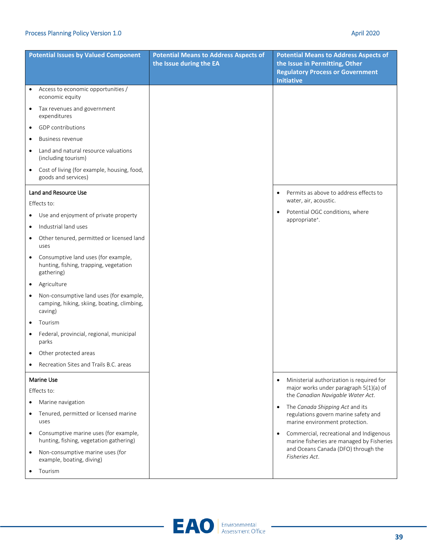|                                          | <b>Potential Issues by Valued Component</b>                                                                                                                                                                                                                                                                                                                                                                                                                                                                      | <b>Potential Means to Address Aspects of</b><br>the Issue during the EA | <b>Potential Means to Address Aspects of</b><br>the Issue in Permitting, Other<br><b>Regulatory Process or Government</b><br><b>Initiative</b>                                                                                                                                                                                                                                                                                |
|------------------------------------------|------------------------------------------------------------------------------------------------------------------------------------------------------------------------------------------------------------------------------------------------------------------------------------------------------------------------------------------------------------------------------------------------------------------------------------------------------------------------------------------------------------------|-------------------------------------------------------------------------|-------------------------------------------------------------------------------------------------------------------------------------------------------------------------------------------------------------------------------------------------------------------------------------------------------------------------------------------------------------------------------------------------------------------------------|
| $\bullet$<br>$\bullet$<br>$\bullet$      | Access to economic opportunities /<br>economic equity<br>Tax revenues and government<br>expenditures<br>GDP contributions<br><b>Business revenue</b>                                                                                                                                                                                                                                                                                                                                                             |                                                                         |                                                                                                                                                                                                                                                                                                                                                                                                                               |
| $\bullet$                                | Land and natural resource valuations<br>(including tourism)<br>Cost of living (for example, housing, food,<br>goods and services)                                                                                                                                                                                                                                                                                                                                                                                |                                                                         |                                                                                                                                                                                                                                                                                                                                                                                                                               |
| ٠<br>$\bullet$<br>$\bullet$<br>$\bullet$ | Land and Resource Use<br>Effects to:<br>Use and enjoyment of private property<br>Industrial land uses<br>Other tenured, permitted or licensed land<br>uses<br>Consumptive land uses (for example,<br>hunting, fishing, trapping, vegetation<br>gathering)<br>Agriculture<br>Non-consumptive land uses (for example,<br>camping, hiking, skiing, boating, climbing,<br>caving)<br>Tourism<br>Federal, provincial, regional, municipal<br>parks<br>Other protected areas<br>Recreation Sites and Trails B.C. areas |                                                                         | Permits as above to address effects to<br>$\bullet$<br>water, air, acoustic.<br>Potential OGC conditions, where<br>$\bullet$<br>appropriate <sup>+</sup> .                                                                                                                                                                                                                                                                    |
| $\bullet$<br>$\bullet$                   | Marine Use<br>Effects to:<br>Marine navigation<br>Tenured, permitted or licensed marine<br>uses<br>Consumptive marine uses (for example,<br>hunting, fishing, vegetation gathering)<br>Non-consumptive marine uses (for<br>example, boating, diving)<br>Tourism                                                                                                                                                                                                                                                  |                                                                         | Ministerial authorization is required for<br>$\bullet$<br>major works under paragraph 5(1)(a) of<br>the Canadian Navigable Water Act.<br>The Canada Shipping Act and its<br>$\bullet$<br>regulations govern marine safety and<br>marine environment protection.<br>Commercial, recreational and Indigenous<br>$\bullet$<br>marine fisheries are managed by Fisheries<br>and Oceans Canada (DFO) through the<br>Fisheries Act. |

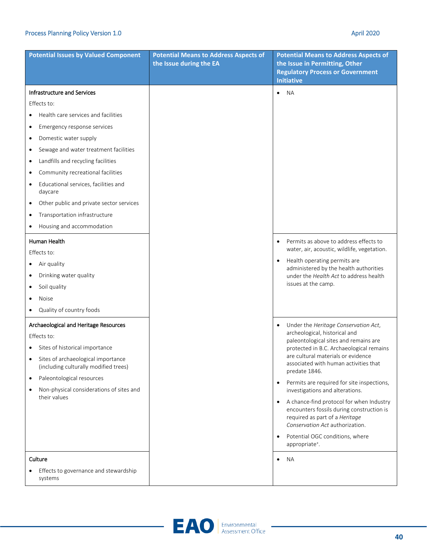| <b>Potential Issues by Valued Component</b>                                                                                                                                                                                                                                                                                   | <b>Potential Means to Address Aspects of</b><br>the Issue during the EA | <b>Potential Means to Address Aspects of</b><br>the Issue in Permitting, Other<br><b>Regulatory Process or Government</b><br><b>Initiative</b>                                                                                                                                                                                                                                                                                                                                                                                                                                                                                       |
|-------------------------------------------------------------------------------------------------------------------------------------------------------------------------------------------------------------------------------------------------------------------------------------------------------------------------------|-------------------------------------------------------------------------|--------------------------------------------------------------------------------------------------------------------------------------------------------------------------------------------------------------------------------------------------------------------------------------------------------------------------------------------------------------------------------------------------------------------------------------------------------------------------------------------------------------------------------------------------------------------------------------------------------------------------------------|
| Infrastructure and Services<br>Effects to:<br>Health care services and facilities<br>Emergency response services<br>٠                                                                                                                                                                                                         |                                                                         | <b>NA</b><br>$\bullet$                                                                                                                                                                                                                                                                                                                                                                                                                                                                                                                                                                                                               |
| Domestic water supply<br>Sewage and water treatment facilities<br>$\bullet$<br>Landfills and recycling facilities<br>Community recreational facilities<br>٠<br>Educational services, facilities and<br>٠<br>daycare<br>Other public and private sector services<br>Transportation infrastructure<br>Housing and accommodation |                                                                         |                                                                                                                                                                                                                                                                                                                                                                                                                                                                                                                                                                                                                                      |
| Human Health<br>Effects to:<br>Air quality<br>Drinking water quality<br>٠<br>Soil quality<br><b>Noise</b><br>Quality of country foods                                                                                                                                                                                         |                                                                         | Permits as above to address effects to<br>$\bullet$<br>water, air, acoustic, wildlife, vegetation.<br>Health operating permits are<br>administered by the health authorities<br>under the Health Act to address health<br>issues at the camp.                                                                                                                                                                                                                                                                                                                                                                                        |
| Archaeological and Heritage Resources<br>Effects to:<br>Sites of historical importance<br>Sites of archaeological importance<br>٠<br>(including culturally modified trees)<br>Paleontological resources<br>٠<br>Non-physical considerations of sites and<br>their values<br>Culture                                           |                                                                         | Under the Heritage Conservation Act,<br>$\bullet$<br>archeological, historical and<br>paleontological sites and remains are<br>protected in B.C. Archaeological remains<br>are cultural materials or evidence<br>associated with human activities that<br>predate 1846.<br>Permits are required for site inspections,<br>$\bullet$<br>investigations and alterations.<br>A chance-find protocol for when Industry<br>$\bullet$<br>encounters fossils during construction is<br>required as part of a Heritage<br>Conservation Act authorization.<br>Potential OGC conditions, where<br>appropriate <sup>+</sup> .<br>NА<br>$\bullet$ |
| Effects to governance and stewardship<br>systems                                                                                                                                                                                                                                                                              |                                                                         |                                                                                                                                                                                                                                                                                                                                                                                                                                                                                                                                                                                                                                      |